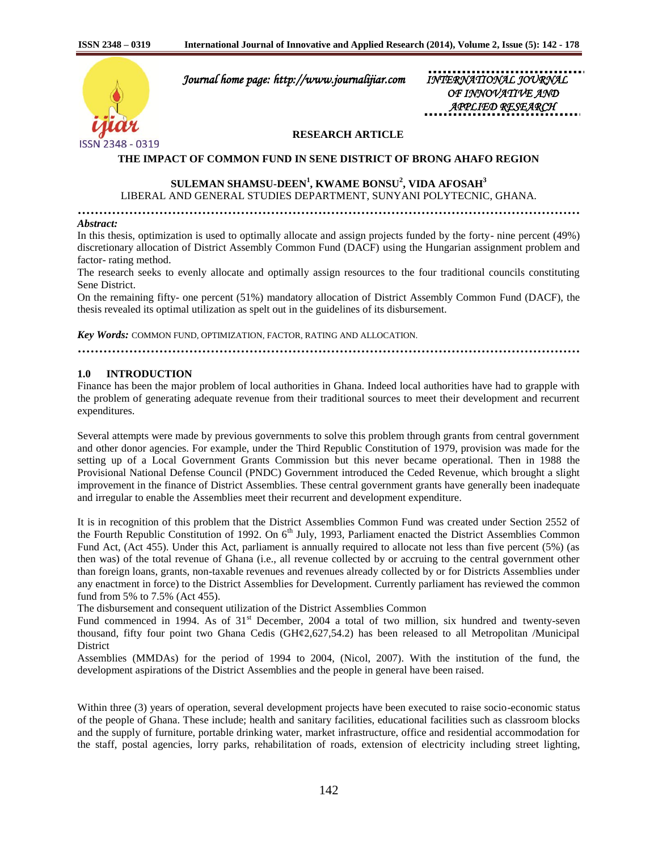

 *Journal home page: http://www.journalijiar.com INTERNATIONAL JOURNAL* 

 *OF INNOVATIVE AND APPLIED RESEARCH* 

#### **RESEARCH ARTICLE**

#### **THE IMPACT OF COMMON FUND IN SENE DISTRICT OF BRONG AHAFO REGION**

## **SULEMAN SHAMSU-DEEN<sup>1</sup> , KWAME BONSU<sup>2</sup> , VIDA AFOSAH<sup>3</sup>** LIBERAL AND GENERAL STUDIES DEPARTMENT, SUNYANI POLYTECNIC, GHANA.

**………………………………………………………………………………………………………**

#### *Abstract:*

In this thesis, optimization is used to optimally allocate and assign projects funded by the forty- nine percent (49%) discretionary allocation of District Assembly Common Fund (DACF) using the Hungarian assignment problem and factor- rating method.

The research seeks to evenly allocate and optimally assign resources to the four traditional councils constituting Sene District.

On the remaining fifty- one percent (51%) mandatory allocation of District Assembly Common Fund (DACF), the thesis revealed its optimal utilization as spelt out in the guidelines of its disbursement.

*Key Words:* COMMON FUND, OPTIMIZATION, FACTOR, RATING AND ALLOCATION.

**………………………………………………………………………………………………………**

## **1.0 INTRODUCTION**

Finance has been the major problem of local authorities in Ghana. Indeed local authorities have had to grapple with the problem of generating adequate revenue from their traditional sources to meet their development and recurrent expenditures.

Several attempts were made by previous governments to solve this problem through grants from central government and other donor agencies. For example, under the Third Republic Constitution of 1979, provision was made for the setting up of a Local Government Grants Commission but this never became operational. Then in 1988 the Provisional National Defense Council (PNDC) Government introduced the Ceded Revenue, which brought a slight improvement in the finance of District Assemblies. These central government grants have generally been inadequate and irregular to enable the Assemblies meet their recurrent and development expenditure.

It is in recognition of this problem that the District Assemblies Common Fund was created under Section 2552 of the Fourth Republic Constitution of 1992. On 6<sup>th</sup> July, 1993, Parliament enacted the District Assemblies Common Fund Act, (Act 455). Under this Act, parliament is annually required to allocate not less than five percent (5%) (as then was) of the total revenue of Ghana (i.e., all revenue collected by or accruing to the central government other than foreign loans, grants, non-taxable revenues and revenues already collected by or for Districts Assemblies under any enactment in force) to the District Assemblies for Development. Currently parliament has reviewed the common fund from 5% to 7.5% (Act 455).

The disbursement and consequent utilization of the District Assemblies Common

Fund commenced in 1994. As of 31<sup>st</sup> December, 2004 a total of two million, six hundred and twenty-seven thousand, fifty four point two Ghana Cedis (GH¢2,627,54.2) has been released to all Metropolitan /Municipal District

Assemblies (MMDAs) for the period of 1994 to 2004, (Nicol, 2007). With the institution of the fund, the development aspirations of the District Assemblies and the people in general have been raised.

Within three (3) years of operation, several development projects have been executed to raise socio-economic status of the people of Ghana. These include; health and sanitary facilities, educational facilities such as classroom blocks and the supply of furniture, portable drinking water, market infrastructure, office and residential accommodation for the staff, postal agencies, lorry parks, rehabilitation of roads, extension of electricity including street lighting,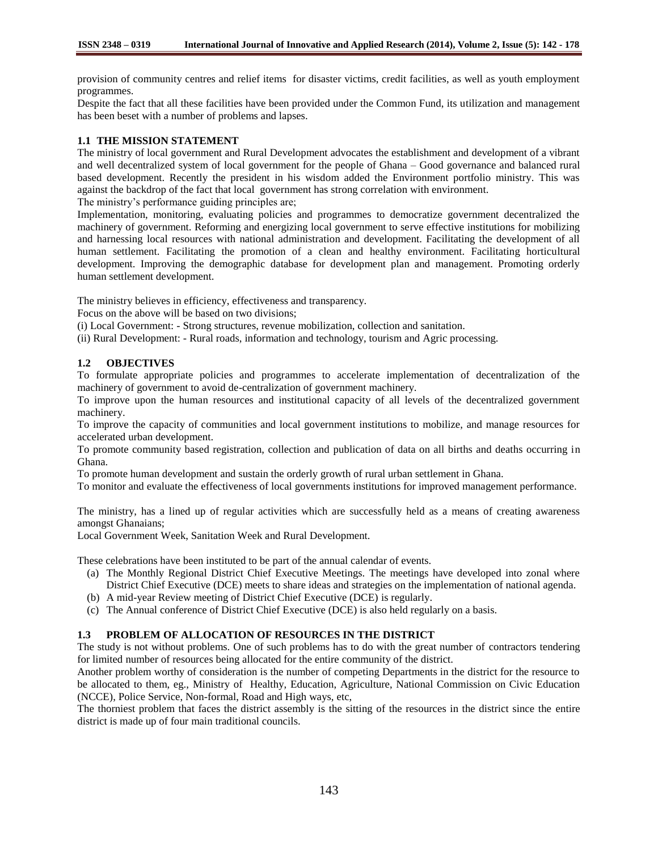provision of community centres and relief items for disaster victims, credit facilities, as well as youth employment programmes.

Despite the fact that all these facilities have been provided under the Common Fund, its utilization and management has been beset with a number of problems and lapses.

## **1.1 THE MISSION STATEMENT**

The ministry of local government and Rural Development advocates the establishment and development of a vibrant and well decentralized system of local government for the people of Ghana – Good governance and balanced rural based development. Recently the president in his wisdom added the Environment portfolio ministry. This was against the backdrop of the fact that local government has strong correlation with environment.

The ministry's performance guiding principles are;

Implementation, monitoring, evaluating policies and programmes to democratize government decentralized the machinery of government. Reforming and energizing local government to serve effective institutions for mobilizing and harnessing local resources with national administration and development. Facilitating the development of all human settlement. Facilitating the promotion of a clean and healthy environment. Facilitating horticultural development. Improving the demographic database for development plan and management. Promoting orderly human settlement development.

The ministry believes in efficiency, effectiveness and transparency.

Focus on the above will be based on two divisions;

(i) Local Government: - Strong structures, revenue mobilization, collection and sanitation.

(ii) Rural Development: - Rural roads, information and technology, tourism and Agric processing.

# **1.2 OBJECTIVES**

To formulate appropriate policies and programmes to accelerate implementation of decentralization of the machinery of government to avoid de-centralization of government machinery.

To improve upon the human resources and institutional capacity of all levels of the decentralized government machinery.

To improve the capacity of communities and local government institutions to mobilize, and manage resources for accelerated urban development.

To promote community based registration, collection and publication of data on all births and deaths occurring in Ghana.

To promote human development and sustain the orderly growth of rural urban settlement in Ghana.

To monitor and evaluate the effectiveness of local governments institutions for improved management performance.

The ministry, has a lined up of regular activities which are successfully held as a means of creating awareness amongst Ghanaians;

Local Government Week, Sanitation Week and Rural Development.

These celebrations have been instituted to be part of the annual calendar of events.

- (a) The Monthly Regional District Chief Executive Meetings. The meetings have developed into zonal where District Chief Executive (DCE) meets to share ideas and strategies on the implementation of national agenda.
- (b) A mid-year Review meeting of District Chief Executive (DCE) is regularly.
- (c) The Annual conference of District Chief Executive (DCE) is also held regularly on a basis.

# **1.3 PROBLEM OF ALLOCATION OF RESOURCES IN THE DISTRICT**

The study is not without problems. One of such problems has to do with the great number of contractors tendering for limited number of resources being allocated for the entire community of the district.

Another problem worthy of consideration is the number of competing Departments in the district for the resource to be allocated to them, eg., Ministry of Healthy, Education, Agriculture, National Commission on Civic Education (NCCE), Police Service, Non-formal, Road and High ways, etc,

The thorniest problem that faces the district assembly is the sitting of the resources in the district since the entire district is made up of four main traditional councils.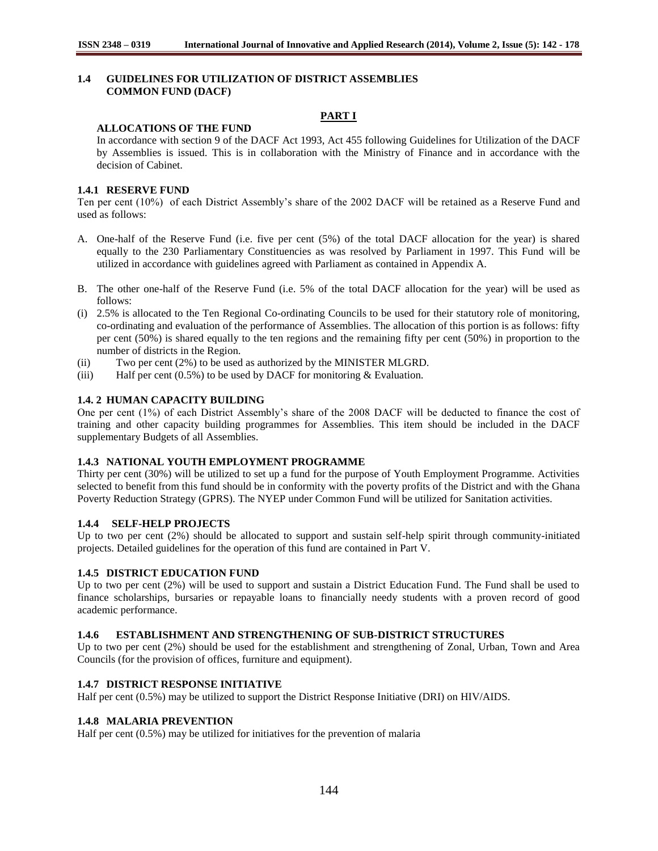# **1.4 GUIDELINES FOR UTILIZATION OF DISTRICT ASSEMBLIES COMMON FUND (DACF)**

# **PART I**

## **ALLOCATIONS OF THE FUND**

In accordance with section 9 of the DACF Act 1993, Act 455 following Guidelines for Utilization of the DACF by Assemblies is issued. This is in collaboration with the Ministry of Finance and in accordance with the decision of Cabinet.

# **1.4.1 RESERVE FUND**

Ten per cent (10%) of each District Assembly"s share of the 2002 DACF will be retained as a Reserve Fund and used as follows:

- A. One-half of the Reserve Fund (i.e. five per cent (5%) of the total DACF allocation for the year) is shared equally to the 230 Parliamentary Constituencies as was resolved by Parliament in 1997. This Fund will be utilized in accordance with guidelines agreed with Parliament as contained in Appendix A.
- B. The other one-half of the Reserve Fund (i.e. 5% of the total DACF allocation for the year) will be used as follows:
- (i) 2.5% is allocated to the Ten Regional Co-ordinating Councils to be used for their statutory role of monitoring, co-ordinating and evaluation of the performance of Assemblies. The allocation of this portion is as follows: fifty per cent (50%) is shared equally to the ten regions and the remaining fifty per cent (50%) in proportion to the number of districts in the Region.
- (ii) Two per cent (2%) to be used as authorized by the MINISTER MLGRD.
- (iii) Half per cent  $(0.5\%)$  to be used by DACF for monitoring & Evaluation.

# **1.4. 2 HUMAN CAPACITY BUILDING**

One per cent (1%) of each District Assembly"s share of the 2008 DACF will be deducted to finance the cost of training and other capacity building programmes for Assemblies. This item should be included in the DACF supplementary Budgets of all Assemblies.

## **1.4.3 NATIONAL YOUTH EMPLOYMENT PROGRAMME**

Thirty per cent (30%) will be utilized to set up a fund for the purpose of Youth Employment Programme. Activities selected to benefit from this fund should be in conformity with the poverty profits of the District and with the Ghana Poverty Reduction Strategy (GPRS). The NYEP under Common Fund will be utilized for Sanitation activities.

# **1.4.4 SELF-HELP PROJECTS**

Up to two per cent (2%) should be allocated to support and sustain self-help spirit through community-initiated projects. Detailed guidelines for the operation of this fund are contained in Part V.

# **1.4.5 DISTRICT EDUCATION FUND**

Up to two per cent (2%) will be used to support and sustain a District Education Fund. The Fund shall be used to finance scholarships, bursaries or repayable loans to financially needy students with a proven record of good academic performance.

## **1.4.6 ESTABLISHMENT AND STRENGTHENING OF SUB-DISTRICT STRUCTURES**

Up to two per cent (2%) should be used for the establishment and strengthening of Zonal, Urban, Town and Area Councils (for the provision of offices, furniture and equipment).

# **1.4.7 DISTRICT RESPONSE INITIATIVE**

Half per cent (0.5%) may be utilized to support the District Response Initiative (DRI) on HIV/AIDS.

## **1.4.8 MALARIA PREVENTION**

Half per cent (0.5%) may be utilized for initiatives for the prevention of malaria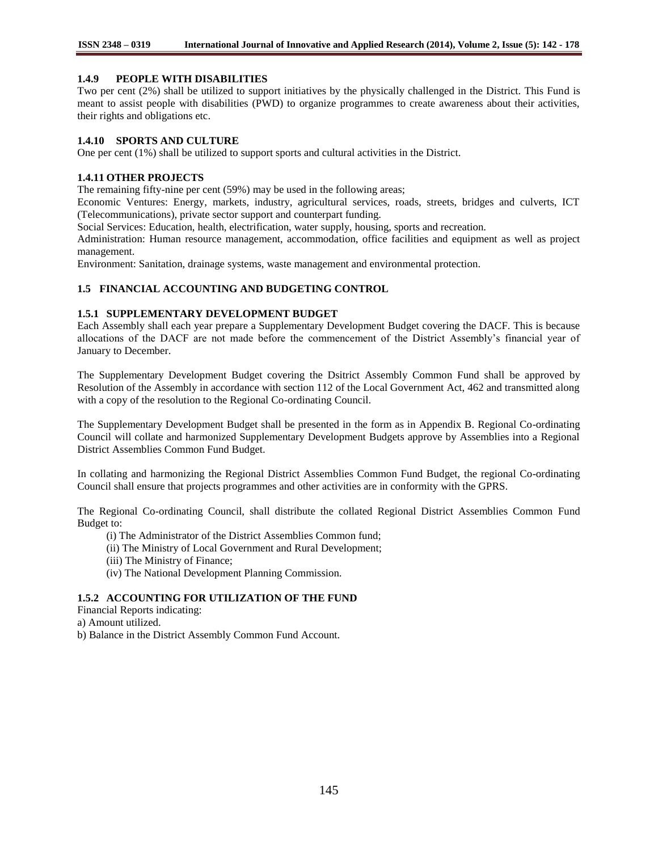## **1.4.9 PEOPLE WITH DISABILITIES**

Two per cent (2%) shall be utilized to support initiatives by the physically challenged in the District. This Fund is meant to assist people with disabilities (PWD) to organize programmes to create awareness about their activities, their rights and obligations etc.

## **1.4.10 SPORTS AND CULTURE**

One per cent (1%) shall be utilized to support sports and cultural activities in the District.

## **1.4.11 OTHER PROJECTS**

The remaining fifty-nine per cent (59%) may be used in the following areas;

Economic Ventures: Energy, markets, industry, agricultural services, roads, streets, bridges and culverts, ICT (Telecommunications), private sector support and counterpart funding.

Social Services: Education, health, electrification, water supply, housing, sports and recreation.

Administration: Human resource management, accommodation, office facilities and equipment as well as project management.

Environment: Sanitation, drainage systems, waste management and environmental protection.

#### **1.5 FINANCIAL ACCOUNTING AND BUDGETING CONTROL**

#### **1.5.1 SUPPLEMENTARY DEVELOPMENT BUDGET**

Each Assembly shall each year prepare a Supplementary Development Budget covering the DACF. This is because allocations of the DACF are not made before the commencement of the District Assembly"s financial year of January to December.

The Supplementary Development Budget covering the Dsitrict Assembly Common Fund shall be approved by Resolution of the Assembly in accordance with section 112 of the Local Government Act, 462 and transmitted along with a copy of the resolution to the Regional Co-ordinating Council.

The Supplementary Development Budget shall be presented in the form as in Appendix B. Regional Co-ordinating Council will collate and harmonized Supplementary Development Budgets approve by Assemblies into a Regional District Assemblies Common Fund Budget.

In collating and harmonizing the Regional District Assemblies Common Fund Budget, the regional Co-ordinating Council shall ensure that projects programmes and other activities are in conformity with the GPRS.

The Regional Co-ordinating Council, shall distribute the collated Regional District Assemblies Common Fund Budget to:

- (i) The Administrator of the District Assemblies Common fund;
- (ii) The Ministry of Local Government and Rural Development;
- (iii) The Ministry of Finance;
- (iv) The National Development Planning Commission.

# **1.5.2 ACCOUNTING FOR UTILIZATION OF THE FUND**

Financial Reports indicating:

a) Amount utilized.

b) Balance in the District Assembly Common Fund Account.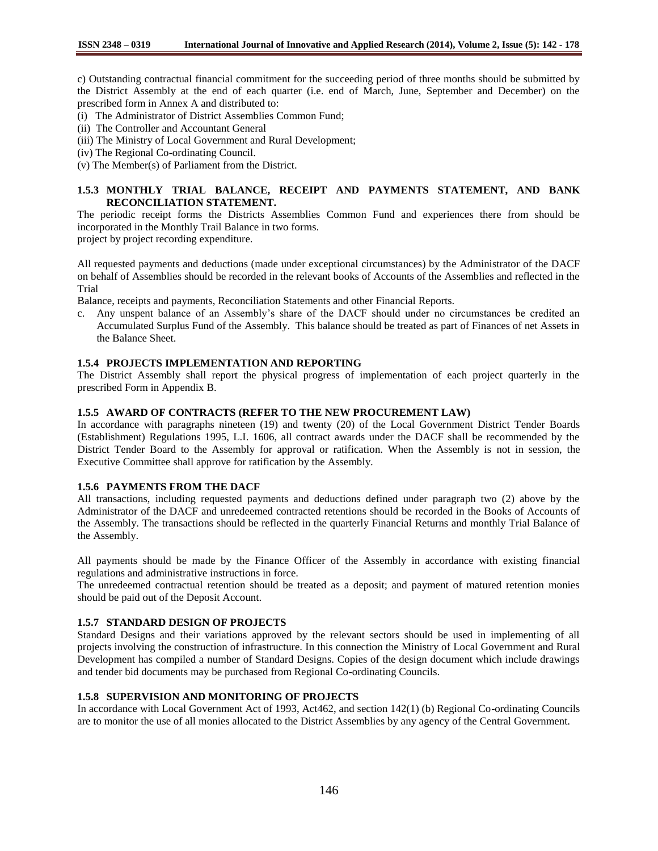c) Outstanding contractual financial commitment for the succeeding period of three months should be submitted by the District Assembly at the end of each quarter (i.e. end of March, June, September and December) on the prescribed form in Annex A and distributed to:

- (i) The Administrator of District Assemblies Common Fund;
- (ii) The Controller and Accountant General
- (iii) The Ministry of Local Government and Rural Development;
- (iv) The Regional Co-ordinating Council.
- (v) The Member(s) of Parliament from the District.

# **1.5.3 MONTHLY TRIAL BALANCE, RECEIPT AND PAYMENTS STATEMENT, AND BANK RECONCILIATION STATEMENT.**

The periodic receipt forms the Districts Assemblies Common Fund and experiences there from should be incorporated in the Monthly Trail Balance in two forms.

project by project recording expenditure.

All requested payments and deductions (made under exceptional circumstances) by the Administrator of the DACF on behalf of Assemblies should be recorded in the relevant books of Accounts of the Assemblies and reflected in the Trial

Balance, receipts and payments, Reconciliation Statements and other Financial Reports.

c. Any unspent balance of an Assembly"s share of the DACF should under no circumstances be credited an Accumulated Surplus Fund of the Assembly. This balance should be treated as part of Finances of net Assets in the Balance Sheet.

# **1.5.4 PROJECTS IMPLEMENTATION AND REPORTING**

The District Assembly shall report the physical progress of implementation of each project quarterly in the prescribed Form in Appendix B.

## **1.5.5 AWARD OF CONTRACTS (REFER TO THE NEW PROCUREMENT LAW)**

In accordance with paragraphs nineteen (19) and twenty (20) of the Local Government District Tender Boards (Establishment) Regulations 1995, L.I. 1606, all contract awards under the DACF shall be recommended by the District Tender Board to the Assembly for approval or ratification. When the Assembly is not in session, the Executive Committee shall approve for ratification by the Assembly.

## **1.5.6 PAYMENTS FROM THE DACF**

All transactions, including requested payments and deductions defined under paragraph two (2) above by the Administrator of the DACF and unredeemed contracted retentions should be recorded in the Books of Accounts of the Assembly. The transactions should be reflected in the quarterly Financial Returns and monthly Trial Balance of the Assembly.

All payments should be made by the Finance Officer of the Assembly in accordance with existing financial regulations and administrative instructions in force.

The unredeemed contractual retention should be treated as a deposit; and payment of matured retention monies should be paid out of the Deposit Account.

# **1.5.7 STANDARD DESIGN OF PROJECTS**

Standard Designs and their variations approved by the relevant sectors should be used in implementing of all projects involving the construction of infrastructure. In this connection the Ministry of Local Government and Rural Development has compiled a number of Standard Designs. Copies of the design document which include drawings and tender bid documents may be purchased from Regional Co-ordinating Councils.

# **1.5.8 SUPERVISION AND MONITORING OF PROJECTS**

In accordance with Local Government Act of 1993, Act462, and section 142(1) (b) Regional Co-ordinating Councils are to monitor the use of all monies allocated to the District Assemblies by any agency of the Central Government.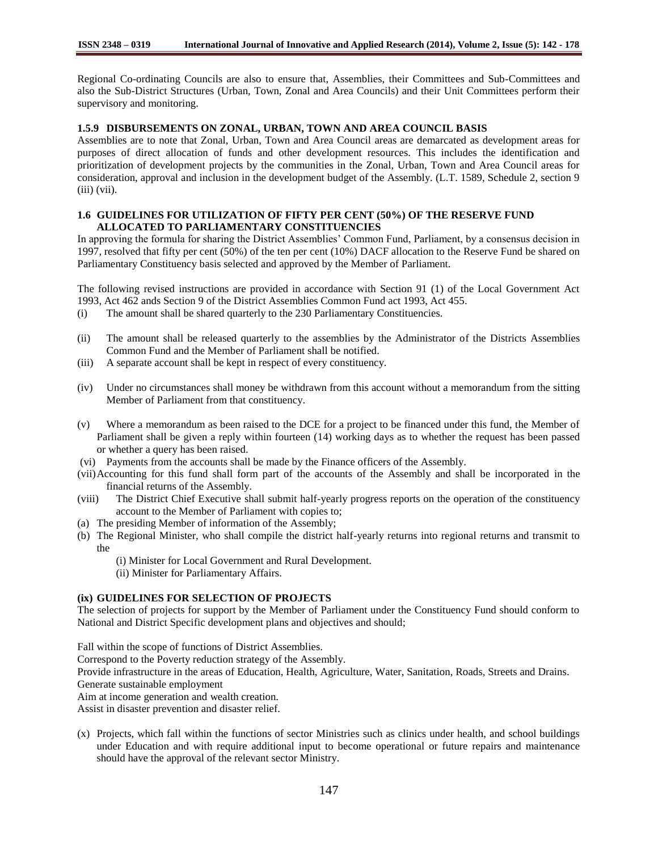Regional Co-ordinating Councils are also to ensure that, Assemblies, their Committees and Sub-Committees and also the Sub-District Structures (Urban, Town, Zonal and Area Councils) and their Unit Committees perform their supervisory and monitoring.

# **1.5.9 DISBURSEMENTS ON ZONAL, URBAN, TOWN AND AREA COUNCIL BASIS**

Assemblies are to note that Zonal, Urban, Town and Area Council areas are demarcated as development areas for purposes of direct allocation of funds and other development resources. This includes the identification and prioritization of development projects by the communities in the Zonal, Urban, Town and Area Council areas for consideration, approval and inclusion in the development budget of the Assembly. (L.T. 1589, Schedule 2, section 9 (iii) (vii).

## **1.6 GUIDELINES FOR UTILIZATION OF FIFTY PER CENT (50%) OF THE RESERVE FUND ALLOCATED TO PARLIAMENTARY CONSTITUENCIES**

In approving the formula for sharing the District Assemblies" Common Fund, Parliament, by a consensus decision in 1997, resolved that fifty per cent (50%) of the ten per cent (10%) DACF allocation to the Reserve Fund be shared on Parliamentary Constituency basis selected and approved by the Member of Parliament.

The following revised instructions are provided in accordance with Section 91 (1) of the Local Government Act 1993, Act 462 ands Section 9 of the District Assemblies Common Fund act 1993, Act 455.

- (i) The amount shall be shared quarterly to the 230 Parliamentary Constituencies.
- (ii) The amount shall be released quarterly to the assemblies by the Administrator of the Districts Assemblies Common Fund and the Member of Parliament shall be notified.
- (iii) A separate account shall be kept in respect of every constituency.
- (iv) Under no circumstances shall money be withdrawn from this account without a memorandum from the sitting Member of Parliament from that constituency.
- (v) Where a memorandum as been raised to the DCE for a project to be financed under this fund, the Member of Parliament shall be given a reply within fourteen (14) working days as to whether the request has been passed or whether a query has been raised.
- (vi) Payments from the accounts shall be made by the Finance officers of the Assembly.
- (vii)Accounting for this fund shall form part of the accounts of the Assembly and shall be incorporated in the financial returns of the Assembly.
- (viii) The District Chief Executive shall submit half-yearly progress reports on the operation of the constituency account to the Member of Parliament with copies to;
- (a) The presiding Member of information of the Assembly;
- (b) The Regional Minister, who shall compile the district half-yearly returns into regional returns and transmit to the
	- (i) Minister for Local Government and Rural Development.
	- (ii) Minister for Parliamentary Affairs.

#### **(ix) GUIDELINES FOR SELECTION OF PROJECTS**

The selection of projects for support by the Member of Parliament under the Constituency Fund should conform to National and District Specific development plans and objectives and should;

Fall within the scope of functions of District Assemblies.

Correspond to the Poverty reduction strategy of the Assembly.

Provide infrastructure in the areas of Education, Health, Agriculture, Water, Sanitation, Roads, Streets and Drains. Generate sustainable employment

Aim at income generation and wealth creation.

Assist in disaster prevention and disaster relief.

(x) Projects, which fall within the functions of sector Ministries such as clinics under health, and school buildings under Education and with require additional input to become operational or future repairs and maintenance should have the approval of the relevant sector Ministry.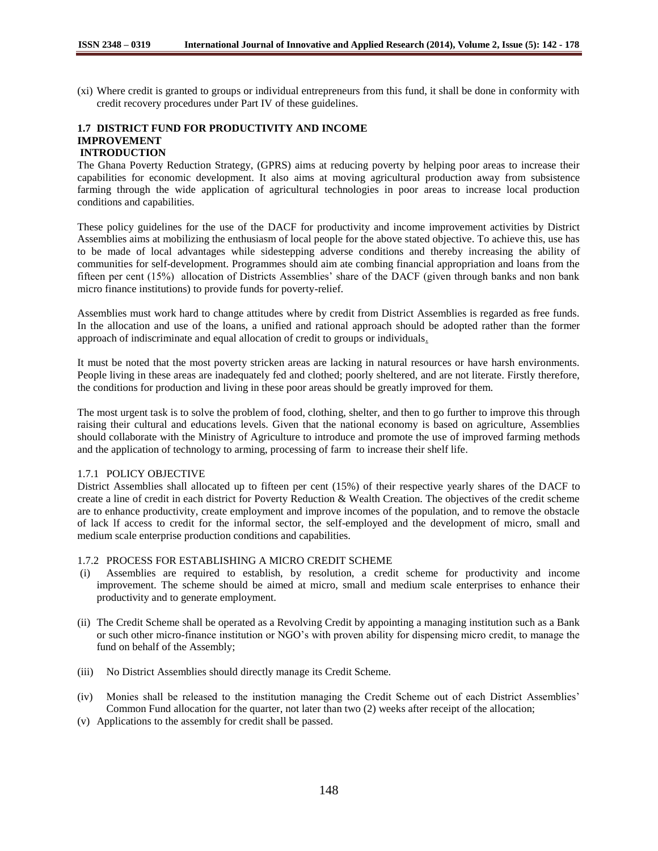(xi) Where credit is granted to groups or individual entrepreneurs from this fund, it shall be done in conformity with credit recovery procedures under Part IV of these guidelines.

#### **1.7 DISTRICT FUND FOR PRODUCTIVITY AND INCOME IMPROVEMENT INTRODUCTION**

The Ghana Poverty Reduction Strategy, (GPRS) aims at reducing poverty by helping poor areas to increase their capabilities for economic development. It also aims at moving agricultural production away from subsistence farming through the wide application of agricultural technologies in poor areas to increase local production conditions and capabilities.

These policy guidelines for the use of the DACF for productivity and income improvement activities by District Assemblies aims at mobilizing the enthusiasm of local people for the above stated objective. To achieve this, use has to be made of local advantages while sidestepping adverse conditions and thereby increasing the ability of communities for self-development. Programmes should aim ate combing financial appropriation and loans from the fifteen per cent (15%) allocation of Districts Assemblies" share of the DACF (given through banks and non bank micro finance institutions) to provide funds for poverty-relief.

Assemblies must work hard to change attitudes where by credit from District Assemblies is regarded as free funds. In the allocation and use of the loans, a unified and rational approach should be adopted rather than the former approach of indiscriminate and equal allocation of credit to groups or individuals.

It must be noted that the most poverty stricken areas are lacking in natural resources or have harsh environments. People living in these areas are inadequately fed and clothed; poorly sheltered, and are not literate. Firstly therefore, the conditions for production and living in these poor areas should be greatly improved for them.

The most urgent task is to solve the problem of food, clothing, shelter, and then to go further to improve this through raising their cultural and educations levels. Given that the national economy is based on agriculture, Assemblies should collaborate with the Ministry of Agriculture to introduce and promote the use of improved farming methods and the application of technology to arming, processing of farm to increase their shelf life.

## 1.7.1 POLICY OBJECTIVE

District Assemblies shall allocated up to fifteen per cent (15%) of their respective yearly shares of the DACF to create a line of credit in each district for Poverty Reduction & Wealth Creation. The objectives of the credit scheme are to enhance productivity, create employment and improve incomes of the population, and to remove the obstacle of lack lf access to credit for the informal sector, the self-employed and the development of micro, small and medium scale enterprise production conditions and capabilities.

## 1.7.2 PROCESS FOR ESTABLISHING A MICRO CREDIT SCHEME

- (i) Assemblies are required to establish, by resolution, a credit scheme for productivity and income improvement. The scheme should be aimed at micro, small and medium scale enterprises to enhance their productivity and to generate employment.
- (ii) The Credit Scheme shall be operated as a Revolving Credit by appointing a managing institution such as a Bank or such other micro-finance institution or NGO"s with proven ability for dispensing micro credit, to manage the fund on behalf of the Assembly;
- (iii) No District Assemblies should directly manage its Credit Scheme.
- (iv) Monies shall be released to the institution managing the Credit Scheme out of each District Assemblies" Common Fund allocation for the quarter, not later than two (2) weeks after receipt of the allocation;
- (v) Applications to the assembly for credit shall be passed.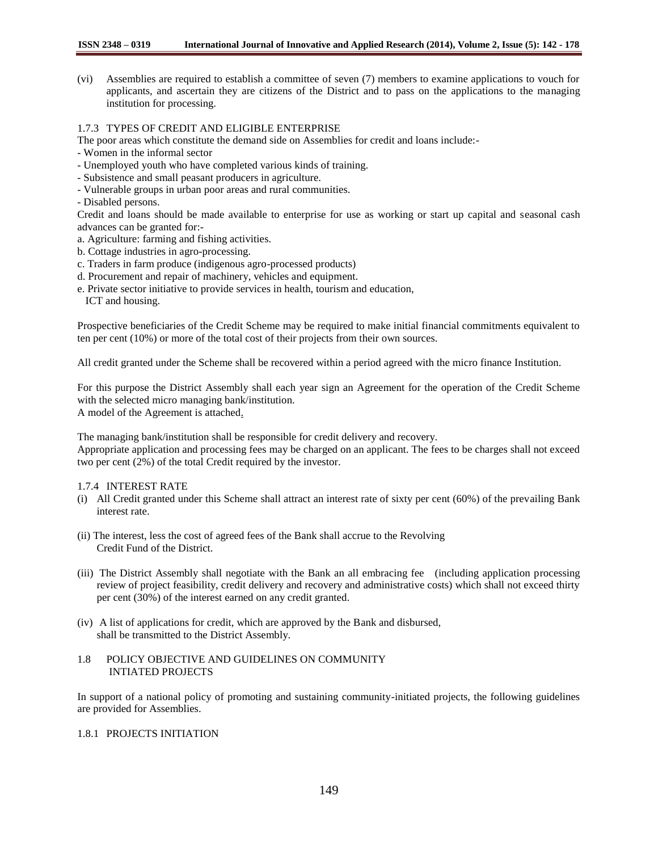(vi) Assemblies are required to establish a committee of seven (7) members to examine applications to vouch for applicants, and ascertain they are citizens of the District and to pass on the applications to the managing institution for processing.

## 1.7.3 TYPES OF CREDIT AND ELIGIBLE ENTERPRISE

- The poor areas which constitute the demand side on Assemblies for credit and loans include:-
- Women in the informal sector
- Unemployed youth who have completed various kinds of training.
- Subsistence and small peasant producers in agriculture.
- Vulnerable groups in urban poor areas and rural communities.
- Disabled persons.

Credit and loans should be made available to enterprise for use as working or start up capital and seasonal cash advances can be granted for:-

- a. Agriculture: farming and fishing activities.
- b. Cottage industries in agro-processing.
- c. Traders in farm produce (indigenous agro-processed products)
- d. Procurement and repair of machinery, vehicles and equipment.
- e. Private sector initiative to provide services in health, tourism and education,
	- ICT and housing.

Prospective beneficiaries of the Credit Scheme may be required to make initial financial commitments equivalent to ten per cent (10%) or more of the total cost of their projects from their own sources.

All credit granted under the Scheme shall be recovered within a period agreed with the micro finance Institution.

For this purpose the District Assembly shall each year sign an Agreement for the operation of the Credit Scheme with the selected micro managing bank/institution. A model of the Agreement is attached.

The managing bank/institution shall be responsible for credit delivery and recovery.

Appropriate application and processing fees may be charged on an applicant. The fees to be charges shall not exceed two per cent (2%) of the total Credit required by the investor.

## 1.7.4 INTEREST RATE

- (i) All Credit granted under this Scheme shall attract an interest rate of sixty per cent (60%) of the prevailing Bank interest rate.
- (ii) The interest, less the cost of agreed fees of the Bank shall accrue to the Revolving Credit Fund of the District.
- (iii) The District Assembly shall negotiate with the Bank an all embracing fee (including application processing review of project feasibility, credit delivery and recovery and administrative costs) which shall not exceed thirty per cent (30%) of the interest earned on any credit granted.
- (iv) A list of applications for credit, which are approved by the Bank and disbursed, shall be transmitted to the District Assembly.

#### 1.8 POLICY OBJECTIVE AND GUIDELINES ON COMMUNITY INTIATED PROJECTS

In support of a national policy of promoting and sustaining community-initiated projects, the following guidelines are provided for Assemblies.

# 1.8.1 PROJECTS INITIATION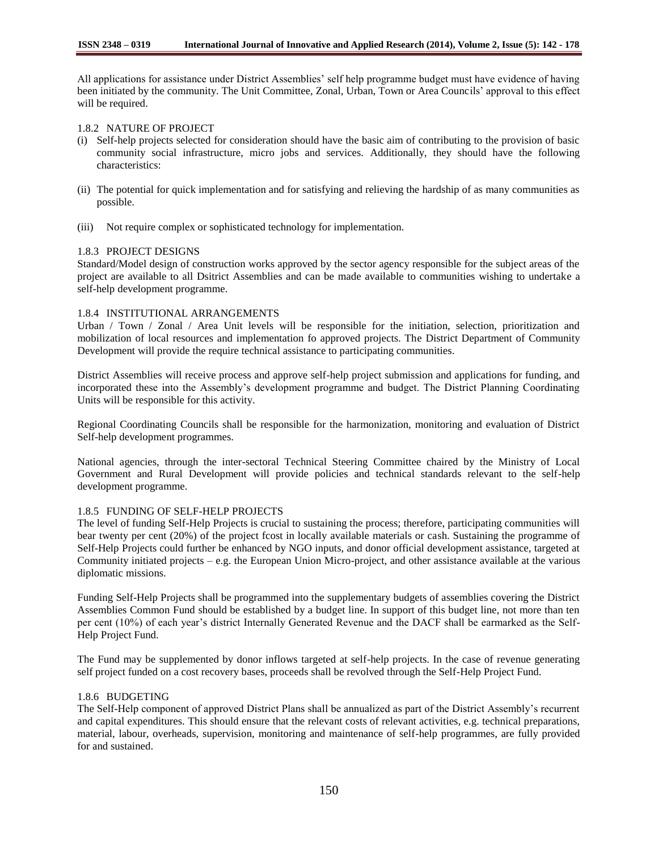All applications for assistance under District Assemblies" self help programme budget must have evidence of having been initiated by the community. The Unit Committee, Zonal, Urban, Town or Area Councils" approval to this effect will be required.

## 1.8.2 NATURE OF PROJECT

- (i) Self-help projects selected for consideration should have the basic aim of contributing to the provision of basic community social infrastructure, micro jobs and services. Additionally, they should have the following characteristics:
- (ii) The potential for quick implementation and for satisfying and relieving the hardship of as many communities as possible.
- (iii) Not require complex or sophisticated technology for implementation.

## 1.8.3 PROJECT DESIGNS

Standard/Model design of construction works approved by the sector agency responsible for the subject areas of the project are available to all Dsitrict Assemblies and can be made available to communities wishing to undertake a self-help development programme.

## 1.8.4 INSTITUTIONAL ARRANGEMENTS

Urban / Town / Zonal / Area Unit levels will be responsible for the initiation, selection, prioritization and mobilization of local resources and implementation fo approved projects. The District Department of Community Development will provide the require technical assistance to participating communities.

District Assemblies will receive process and approve self-help project submission and applications for funding, and incorporated these into the Assembly"s development programme and budget. The District Planning Coordinating Units will be responsible for this activity.

Regional Coordinating Councils shall be responsible for the harmonization, monitoring and evaluation of District Self-help development programmes.

National agencies, through the inter-sectoral Technical Steering Committee chaired by the Ministry of Local Government and Rural Development will provide policies and technical standards relevant to the self-help development programme.

## 1.8.5 FUNDING OF SELF-HELP PROJECTS

The level of funding Self-Help Projects is crucial to sustaining the process; therefore, participating communities will bear twenty per cent (20%) of the project fcost in locally available materials or cash. Sustaining the programme of Self-Help Projects could further be enhanced by NGO inputs, and donor official development assistance, targeted at Community initiated projects – e.g. the European Union Micro-project, and other assistance available at the various diplomatic missions.

Funding Self-Help Projects shall be programmed into the supplementary budgets of assemblies covering the District Assemblies Common Fund should be established by a budget line. In support of this budget line, not more than ten per cent (10%) of each year"s district Internally Generated Revenue and the DACF shall be earmarked as the Self-Help Project Fund.

The Fund may be supplemented by donor inflows targeted at self-help projects. In the case of revenue generating self project funded on a cost recovery bases, proceeds shall be revolved through the Self-Help Project Fund.

#### 1.8.6 BUDGETING

The Self-Help component of approved District Plans shall be annualized as part of the District Assembly"s recurrent and capital expenditures. This should ensure that the relevant costs of relevant activities, e.g. technical preparations, material, labour, overheads, supervision, monitoring and maintenance of self-help programmes, are fully provided for and sustained.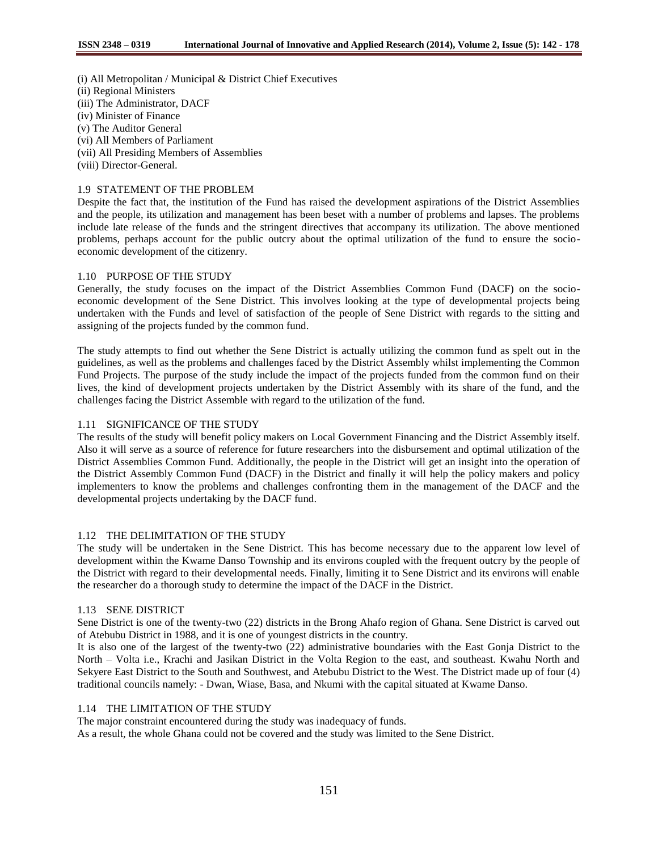(i) All Metropolitan / Municipal & District Chief Executives

- (ii) Regional Ministers
- (iii) The Administrator, DACF
- (iv) Minister of Finance
- (v) The Auditor General
- (vi) All Members of Parliament
- (vii) All Presiding Members of Assemblies
- (viii) Director-General.

# 1.9 STATEMENT OF THE PROBLEM

Despite the fact that, the institution of the Fund has raised the development aspirations of the District Assemblies and the people, its utilization and management has been beset with a number of problems and lapses. The problems include late release of the funds and the stringent directives that accompany its utilization. The above mentioned problems, perhaps account for the public outcry about the optimal utilization of the fund to ensure the socioeconomic development of the citizenry.

## 1.10 PURPOSE OF THE STUDY

Generally, the study focuses on the impact of the District Assemblies Common Fund (DACF) on the socioeconomic development of the Sene District. This involves looking at the type of developmental projects being undertaken with the Funds and level of satisfaction of the people of Sene District with regards to the sitting and assigning of the projects funded by the common fund.

The study attempts to find out whether the Sene District is actually utilizing the common fund as spelt out in the guidelines, as well as the problems and challenges faced by the District Assembly whilst implementing the Common Fund Projects. The purpose of the study include the impact of the projects funded from the common fund on their lives, the kind of development projects undertaken by the District Assembly with its share of the fund, and the challenges facing the District Assemble with regard to the utilization of the fund.

## 1.11 SIGNIFICANCE OF THE STUDY

The results of the study will benefit policy makers on Local Government Financing and the District Assembly itself. Also it will serve as a source of reference for future researchers into the disbursement and optimal utilization of the District Assemblies Common Fund. Additionally, the people in the District will get an insight into the operation of the District Assembly Common Fund (DACF) in the District and finally it will help the policy makers and policy implementers to know the problems and challenges confronting them in the management of the DACF and the developmental projects undertaking by the DACF fund.

## 1.12 THE DELIMITATION OF THE STUDY

The study will be undertaken in the Sene District. This has become necessary due to the apparent low level of development within the Kwame Danso Township and its environs coupled with the frequent outcry by the people of the District with regard to their developmental needs. Finally, limiting it to Sene District and its environs will enable the researcher do a thorough study to determine the impact of the DACF in the District.

## 1.13 SENE DISTRICT

Sene District is one of the twenty-two (22) districts in the Brong Ahafo region of Ghana. Sene District is carved out of Atebubu District in 1988, and it is one of youngest districts in the country.

It is also one of the largest of the twenty-two (22) administrative boundaries with the East Gonja District to the North – Volta i.e., Krachi and Jasikan District in the Volta Region to the east, and southeast. Kwahu North and Sekyere East District to the South and Southwest, and Atebubu District to the West. The District made up of four (4) traditional councils namely: - Dwan, Wiase, Basa, and Nkumi with the capital situated at Kwame Danso.

# 1.14 THE LIMITATION OF THE STUDY

The major constraint encountered during the study was inadequacy of funds.

As a result, the whole Ghana could not be covered and the study was limited to the Sene District.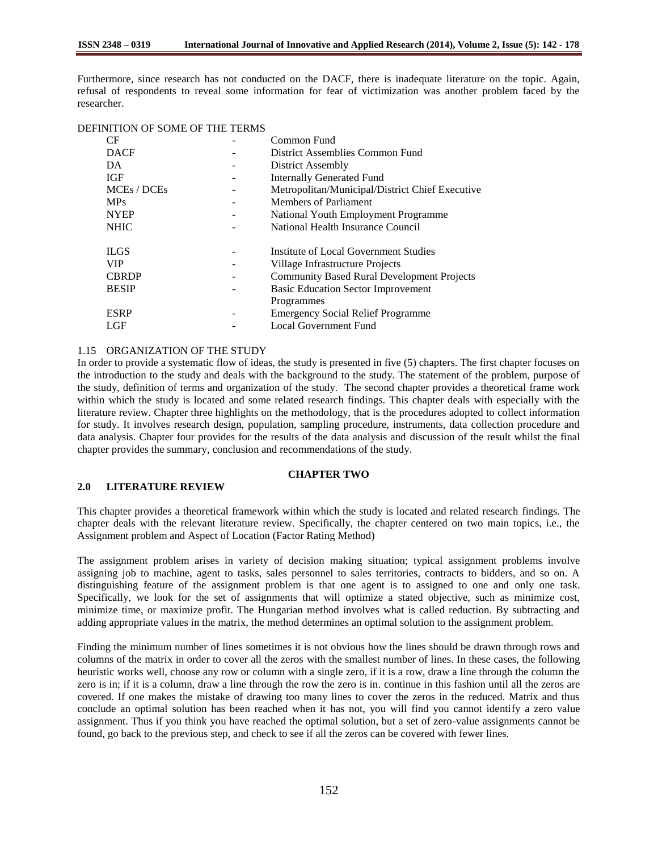Furthermore, since research has not conducted on the DACF, there is inadequate literature on the topic. Again, refusal of respondents to reveal some information for fear of victimization was another problem faced by the researcher.

#### DEFINITION OF SOME OF THE TERMS

| CF           | Common Fund                                       |
|--------------|---------------------------------------------------|
| <b>DACF</b>  | District Assemblies Common Fund                   |
| DA           | District Assembly                                 |
| <b>IGF</b>   | <b>Internally Generated Fund</b>                  |
| MCEs / DCEs  | Metropolitan/Municipal/District Chief Executive   |
| <b>MPs</b>   | Members of Parliament                             |
| <b>NYEP</b>  | National Youth Employment Programme               |
| <b>NHIC</b>  | National Health Insurance Council                 |
|              |                                                   |
| <b>ILGS</b>  | Institute of Local Government Studies             |
| <b>VIP</b>   | Village Infrastructure Projects                   |
|              |                                                   |
| <b>CBRDP</b> | <b>Community Based Rural Development Projects</b> |
| <b>BESIP</b> | <b>Basic Education Sector Improvement</b>         |
|              | Programmes                                        |
| <b>ESRP</b>  | <b>Emergency Social Relief Programme</b>          |

## 1.15 ORGANIZATION OF THE STUDY

In order to provide a systematic flow of ideas, the study is presented in five (5) chapters. The first chapter focuses on the introduction to the study and deals with the background to the study. The statement of the problem, purpose of the study, definition of terms and organization of the study. The second chapter provides a theoretical frame work within which the study is located and some related research findings. This chapter deals with especially with the literature review. Chapter three highlights on the methodology, that is the procedures adopted to collect information for study. It involves research design, population, sampling procedure, instruments, data collection procedure and data analysis. Chapter four provides for the results of the data analysis and discussion of the result whilst the final chapter provides the summary, conclusion and recommendations of the study.

## **CHAPTER TWO**

# **2.0 LITERATURE REVIEW**

This chapter provides a theoretical framework within which the study is located and related research findings. The chapter deals with the relevant literature review. Specifically, the chapter centered on two main topics, i.e., the Assignment problem and Aspect of Location (Factor Rating Method)

The assignment problem arises in variety of decision making situation; typical assignment problems involve assigning job to machine, agent to tasks, sales personnel to sales territories, contracts to bidders, and so on. A distinguishing feature of the assignment problem is that one agent is to assigned to one and only one task. Specifically, we look for the set of assignments that will optimize a stated objective, such as minimize cost, minimize time, or maximize profit. The Hungarian method involves what is called reduction. By subtracting and adding appropriate values in the matrix, the method determines an optimal solution to the assignment problem.

Finding the minimum number of lines sometimes it is not obvious how the lines should be drawn through rows and columns of the matrix in order to cover all the zeros with the smallest number of lines. In these cases, the following heuristic works well, choose any row or column with a single zero, if it is a row, draw a line through the column the zero is in; if it is a column, draw a line through the row the zero is in. continue in this fashion until all the zeros are covered. If one makes the mistake of drawing too many lines to cover the zeros in the reduced. Matrix and thus conclude an optimal solution has been reached when it has not, you will find you cannot identify a zero value assignment. Thus if you think you have reached the optimal solution, but a set of zero-value assignments cannot be found, go back to the previous step, and check to see if all the zeros can be covered with fewer lines.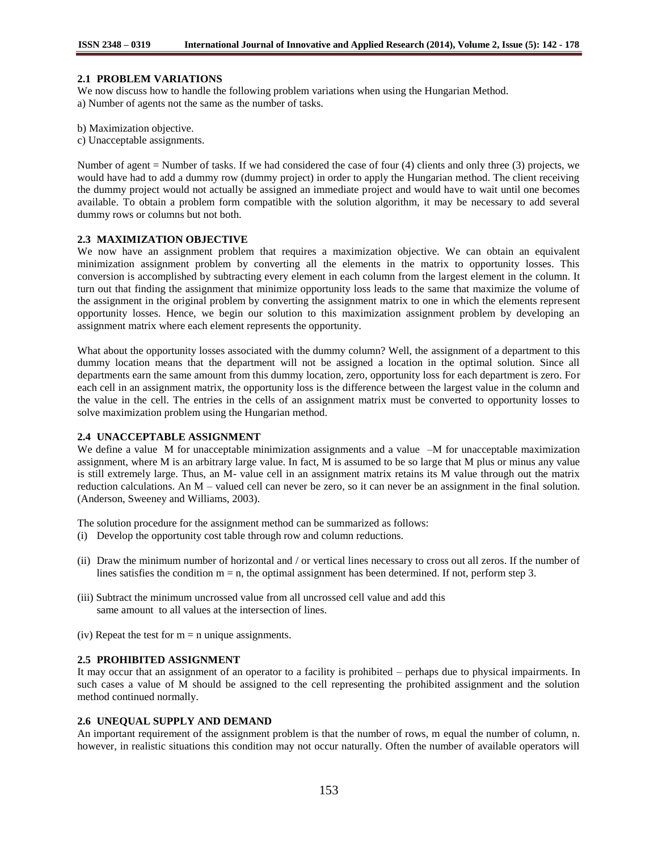#### **2.1 PROBLEM VARIATIONS**

We now discuss how to handle the following problem variations when using the Hungarian Method. a) Number of agents not the same as the number of tasks.

- b) Maximization objective.
- c) Unacceptable assignments.

Number of agent = Number of tasks. If we had considered the case of four (4) clients and only three (3) projects, we would have had to add a dummy row (dummy project) in order to apply the Hungarian method. The client receiving the dummy project would not actually be assigned an immediate project and would have to wait until one becomes available. To obtain a problem form compatible with the solution algorithm, it may be necessary to add several dummy rows or columns but not both.

#### **2.3 MAXIMIZATION OBJECTIVE**

We now have an assignment problem that requires a maximization objective. We can obtain an equivalent minimization assignment problem by converting all the elements in the matrix to opportunity losses. This conversion is accomplished by subtracting every element in each column from the largest element in the column. It turn out that finding the assignment that minimize opportunity loss leads to the same that maximize the volume of the assignment in the original problem by converting the assignment matrix to one in which the elements represent opportunity losses. Hence, we begin our solution to this maximization assignment problem by developing an assignment matrix where each element represents the opportunity.

What about the opportunity losses associated with the dummy column? Well, the assignment of a department to this dummy location means that the department will not be assigned a location in the optimal solution. Since all departments earn the same amount from this dummy location, zero, opportunity loss for each department is zero. For each cell in an assignment matrix, the opportunity loss is the difference between the largest value in the column and the value in the cell. The entries in the cells of an assignment matrix must be converted to opportunity losses to solve maximization problem using the Hungarian method.

## **2.4 UNACCEPTABLE ASSIGNMENT**

We define a value M for unacceptable minimization assignments and a value –M for unacceptable maximization assignment, where M is an arbitrary large value. In fact, M is assumed to be so large that M plus or minus any value is still extremely large. Thus, an M- value cell in an assignment matrix retains its M value through out the matrix reduction calculations. An M – valued cell can never be zero, so it can never be an assignment in the final solution. (Anderson, Sweeney and Williams, 2003).

The solution procedure for the assignment method can be summarized as follows:

- (i) Develop the opportunity cost table through row and column reductions.
- (ii) Draw the minimum number of horizontal and / or vertical lines necessary to cross out all zeros. If the number of lines satisfies the condition  $m = n$ , the optimal assignment has been determined. If not, perform step 3.
- (iii) Subtract the minimum uncrossed value from all uncrossed cell value and add this same amount to all values at the intersection of lines.
- (iv) Repeat the test for  $m = n$  unique assignments.

#### **2.5 PROHIBITED ASSIGNMENT**

It may occur that an assignment of an operator to a facility is prohibited – perhaps due to physical impairments. In such cases a value of M should be assigned to the cell representing the prohibited assignment and the solution method continued normally.

### **2.6 UNEQUAL SUPPLY AND DEMAND**

An important requirement of the assignment problem is that the number of rows, m equal the number of column, n. however, in realistic situations this condition may not occur naturally. Often the number of available operators will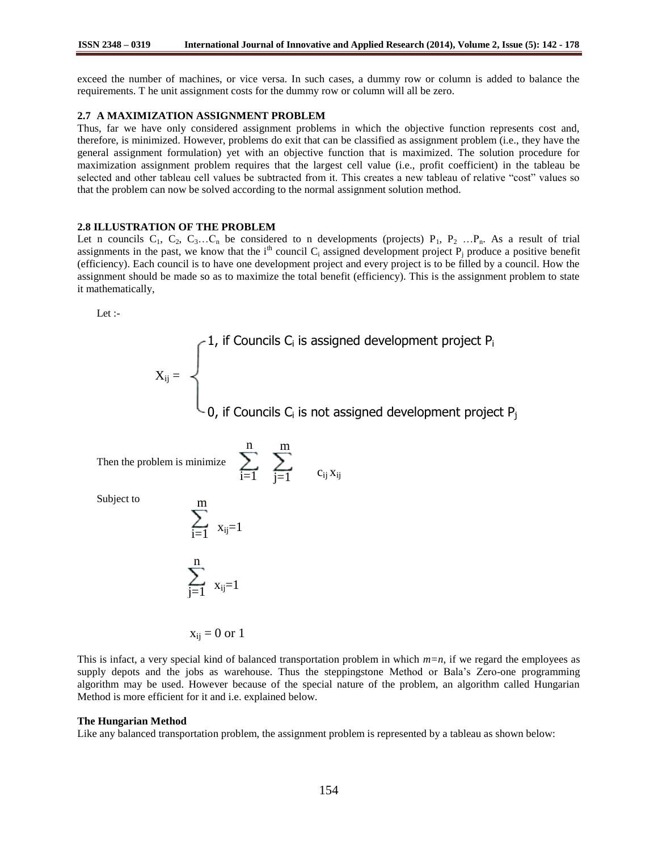exceed the number of machines, or vice versa. In such cases, a dummy row or column is added to balance the requirements. T he unit assignment costs for the dummy row or column will all be zero.

#### **2.7 A MAXIMIZATION ASSIGNMENT PROBLEM**

Thus, far we have only considered assignment problems in which the objective function represents cost and, therefore, is minimized. However, problems do exit that can be classified as assignment problem (i.e., they have the general assignment formulation) yet with an objective function that is maximized. The solution procedure for maximization assignment problem requires that the largest cell value (i.e., profit coefficient) in the tableau be selected and other tableau cell values be subtracted from it. This creates a new tableau of relative "cost" values so that the problem can now be solved according to the normal assignment solution method.

#### **2.8 ILLUSTRATION OF THE PROBLEM**

Let n councils  $C_1$ ,  $C_2$ ,  $C_3$ ... $C_n$  be considered to n developments (projects)  $P_1$ ,  $P_2$  ... $P_n$ . As a result of trial assignments in the past, we know that the i<sup>th</sup> council  $C_i$  assigned development project  $P_i$  produce a positive benefit (efficiency). Each council is to have one development project and every project is to be filled by a council. How the assignment should be made so as to maximize the total benefit (efficiency). This is the assignment problem to state it mathematically,

Let :-

$$
X_{ij} = \begin{cases} 1, & \text{if Councils } C_i \text{ is assigned development project } P_i \\ & \\ 0, & \text{if Councils } C_i \text{ is not assigned development project } P_j \end{cases}
$$

 $i=1$   $i=1$   $c_{ij}x_{ij}$ 

 $j=1$ 

m

n

 $\overline{1}$ 

Then the problem is minimize

Subject to

$$
\sum_{i=1}^m x_{ij} =
$$

$$
\sum_{j=1}^n\ _{x_{ij}=1}
$$

 $x_{ii} = 0$  or 1

This is infact, a very special kind of balanced transportation problem in which *m=n*, if we regard the employees as supply depots and the jobs as warehouse. Thus the steppingstone Method or Bala"s Zero-one programming algorithm may be used. However because of the special nature of the problem, an algorithm called Hungarian Method is more efficient for it and i.e. explained below.

#### **The Hungarian Method**

Like any balanced transportation problem, the assignment problem is represented by a tableau as shown below: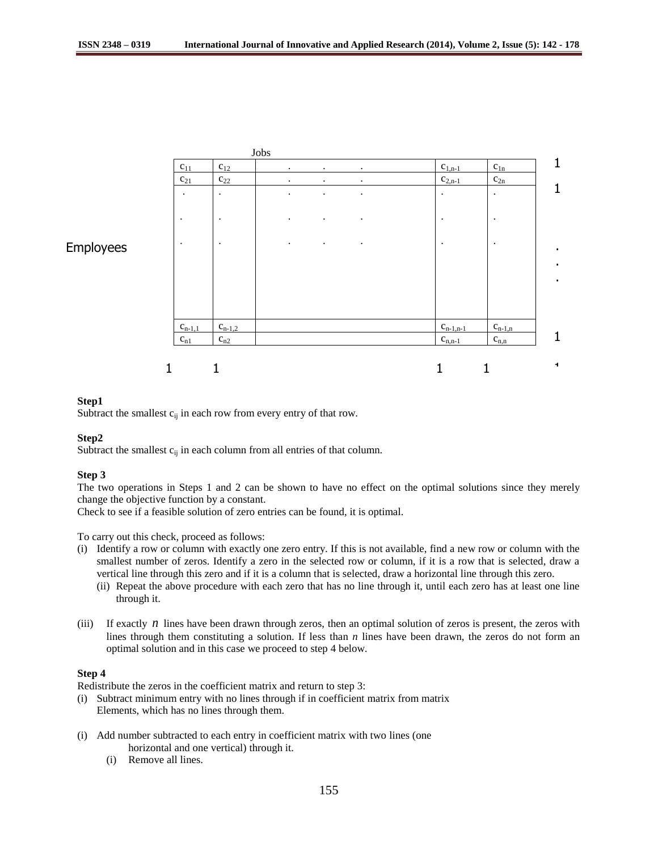

# **Step1**

Subtract the smallest  $c_{ij}$  in each row from every entry of that row.

#### **Step2**

Subtract the smallest  $c_{ij}$  in each column from all entries of that column.

#### **Step 3**

The two operations in Steps 1 and 2 can be shown to have no effect on the optimal solutions since they merely change the objective function by a constant.

Check to see if a feasible solution of zero entries can be found, it is optimal.

To carry out this check, proceed as follows:

- (i) Identify a row or column with exactly one zero entry. If this is not available, find a new row or column with the smallest number of zeros. Identify a zero in the selected row or column, if it is a row that is selected, draw a vertical line through this zero and if it is a column that is selected, draw a horizontal line through this zero.
	- (ii) Repeat the above procedure with each zero that has no line through it, until each zero has at least one line through it.
- (iii) If exactly  $n$  lines have been drawn through zeros, then an optimal solution of zeros is present, the zeros with lines through them constituting a solution. If less than *n* lines have been drawn, the zeros do not form an optimal solution and in this case we proceed to step 4 below.

# **Step 4**

Redistribute the zeros in the coefficient matrix and return to step 3:

- (i) Subtract minimum entry with no lines through if in coefficient matrix from matrix Elements, which has no lines through them.
- (i) Add number subtracted to each entry in coefficient matrix with two lines (one horizontal and one vertical) through it.
	- (i) Remove all lines.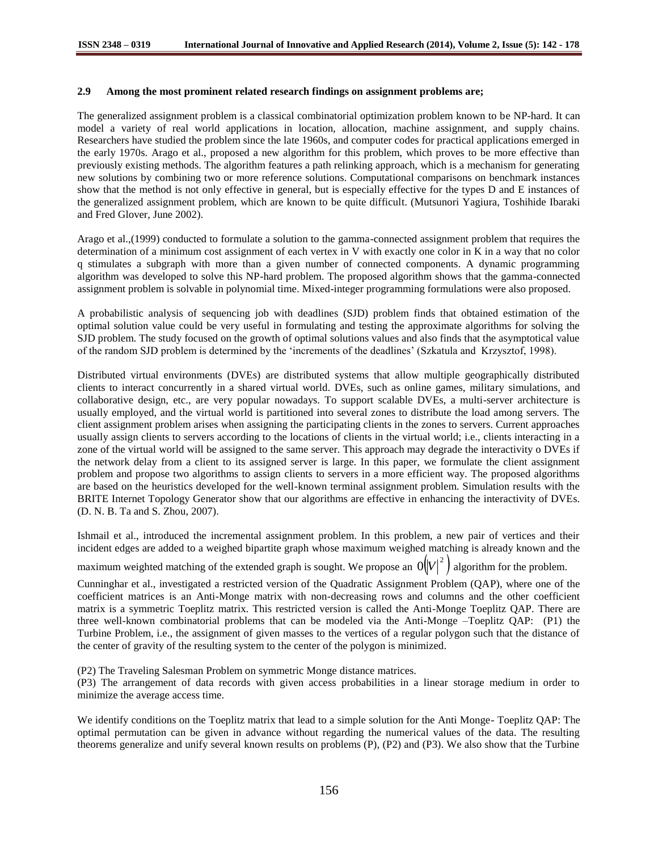#### **2.9 Among the most prominent related research findings on assignment problems are;**

The generalized assignment problem is a classical combinatorial optimization problem known to be NP-hard. It can model a variety of real world applications in location, allocation, machine assignment, and supply chains. Researchers have studied the problem since the late 1960s, and computer codes for practical applications emerged in the early 1970s. Arago et al., proposed a new algorithm for this problem, which proves to be more effective than previously existing methods. The algorithm features a path relinking approach, which is a mechanism for generating new solutions by combining two or more reference solutions. Computational comparisons on benchmark instances show that the method is not only effective in general, but is especially effective for the types D and E instances of the generalized assignment problem, which are known to be quite difficult. (Mutsunori Yagiura, Toshihide Ibaraki and Fred Glover, June 2002).

Arago et al.,(1999) conducted to formulate a solution to the gamma-connected assignment problem that requires the determination of a minimum cost assignment of each vertex in V with exactly one color in K in a way that no color q stimulates a subgraph with more than a given number of connected components. A dynamic programming algorithm was developed to solve this NP-hard problem. The proposed algorithm shows that the gamma-connected assignment problem is solvable in polynomial time. Mixed-integer programming formulations were also proposed.

A probabilistic analysis of sequencing job with deadlines (SJD) problem finds that obtained estimation of the optimal solution value could be very useful in formulating and testing the approximate algorithms for solving the SJD problem. The study focused on the growth of optimal solutions values and also finds that the asymptotical value of the random SJD problem is determined by the "increments of the deadlines" (Szkatula and Krzysztof, 1998).

Distributed virtual environments (DVEs) are distributed systems that allow multiple geographically distributed clients to interact concurrently in a shared virtual world. DVEs, such as online games, military simulations, and collaborative design, etc., are very popular nowadays. To support scalable DVEs, a multi-server architecture is usually employed, and the virtual world is partitioned into several zones to distribute the load among servers. The client assignment problem arises when assigning the participating clients in the zones to servers. Current approaches usually assign clients to servers according to the locations of clients in the virtual world; i.e., clients interacting in a zone of the virtual world will be assigned to the same server. This approach may degrade the interactivity o DVEs if the network delay from a client to its assigned server is large. In this paper, we formulate the client assignment problem and propose two algorithms to assign clients to servers in a more efficient way. The proposed algorithms are based on the heuristics developed for the well-known terminal assignment problem. Simulation results with the BRITE Internet Topology Generator show that our algorithms are effective in enhancing the interactivity of DVEs. (D. N. B. Ta and S. Zhou, 2007).

Ishmail et al., introduced the incremental assignment problem. In this problem, a new pair of vertices and their incident edges are added to a weighed bipartite graph whose maximum weighed matching is already known and the

maximum weighted matching of the extended graph is sought. We propose an  $|O(|V|^2)$  algorithm for the problem.

Cunninghar et al., investigated a restricted version of the Quadratic Assignment Problem (QAP), where one of the coefficient matrices is an Anti-Monge matrix with non-decreasing rows and columns and the other coefficient matrix is a symmetric Toeplitz matrix. This restricted version is called the Anti-Monge Toeplitz QAP. There are three well-known combinatorial problems that can be modeled via the Anti-Monge –Toeplitz QAP: (P1) the Turbine Problem, i.e., the assignment of given masses to the vertices of a regular polygon such that the distance of the center of gravity of the resulting system to the center of the polygon is minimized.

(P2) The Traveling Salesman Problem on symmetric Monge distance matrices.

(P3) The arrangement of data records with given access probabilities in a linear storage medium in order to minimize the average access time.

We identify conditions on the Toeplitz matrix that lead to a simple solution for the Anti Monge- Toeplitz QAP: The optimal permutation can be given in advance without regarding the numerical values of the data. The resulting theorems generalize and unify several known results on problems (P), (P2) and (P3). We also show that the Turbine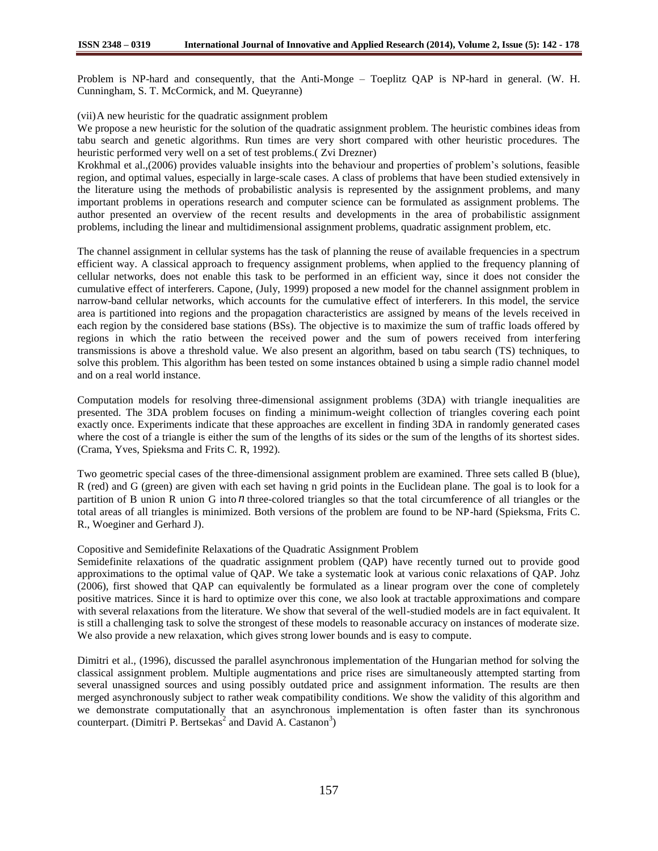Problem is NP-hard and consequently, that the Anti-Monge – Toeplitz QAP is NP-hard in general. (W. H. Cunningham, S. T. McCormick, and M. Queyranne)

#### (vii)A new heuristic for the quadratic assignment problem

We propose a new heuristic for the solution of the quadratic assignment problem. The heuristic combines ideas from tabu search and genetic algorithms. Run times are very short compared with other heuristic procedures. The heuristic performed very well on a set of test problems.( Zvi Drezner)

Krokhmal et al.,(2006) provides valuable insights into the behaviour and properties of problem"s solutions, feasible region, and optimal values, especially in large-scale cases. A class of problems that have been studied extensively in the literature using the methods of probabilistic analysis is represented by the assignment problems, and many important problems in operations research and computer science can be formulated as assignment problems. The author presented an overview of the recent results and developments in the area of probabilistic assignment problems, including the linear and multidimensional assignment problems, quadratic assignment problem, etc.

The channel assignment in cellular systems has the task of planning the reuse of available frequencies in a spectrum efficient way. A classical approach to frequency assignment problems, when applied to the frequency planning of cellular networks, does not enable this task to be performed in an efficient way, since it does not consider the cumulative effect of interferers. Capone, (July, 1999) proposed a new model for the channel assignment problem in narrow-band cellular networks, which accounts for the cumulative effect of interferers. In this model, the service area is partitioned into regions and the propagation characteristics are assigned by means of the levels received in each region by the considered base stations (BSs). The objective is to maximize the sum of traffic loads offered by regions in which the ratio between the received power and the sum of powers received from interfering transmissions is above a threshold value. We also present an algorithm, based on tabu search (TS) techniques, to solve this problem. This algorithm has been tested on some instances obtained b using a simple radio channel model and on a real world instance.

Computation models for resolving three-dimensional assignment problems (3DA) with triangle inequalities are presented. The 3DA problem focuses on finding a minimum-weight collection of triangles covering each point exactly once. Experiments indicate that these approaches are excellent in finding 3DA in randomly generated cases where the cost of a triangle is either the sum of the lengths of its sides or the sum of the lengths of its shortest sides. (Crama, Yves, Spieksma and Frits C. R, 1992).

Two geometric special cases of the three-dimensional assignment problem are examined. Three sets called B (blue), R (red) and G (green) are given with each set having n grid points in the Euclidean plane. The goal is to look for a partition of B union R union G into *n* three-colored triangles so that the total circumference of all triangles or the total areas of all triangles is minimized. Both versions of the problem are found to be NP-hard (Spieksma, Frits C. R., Woeginer and Gerhard J).

#### Copositive and Semidefinite Relaxations of the Quadratic Assignment Problem

Semidefinite relaxations of the quadratic assignment problem (QAP) have recently turned out to provide good approximations to the optimal value of QAP. We take a systematic look at various conic relaxations of QAP. Johz (2006), first showed that QAP can equivalently be formulated as a linear program over the cone of completely positive matrices. Since it is hard to optimize over this cone, we also look at tractable approximations and compare with several relaxations from the literature. We show that several of the well-studied models are in fact equivalent. It is still a challenging task to solve the strongest of these models to reasonable accuracy on instances of moderate size. We also provide a new relaxation, which gives strong lower bounds and is easy to compute.

Dimitri et al., (1996), discussed the parallel asynchronous implementation of the Hungarian method for solving the classical assignment problem. Multiple augmentations and price rises are simultaneously attempted starting from several unassigned sources and using possibly outdated price and assignment information. The results are then merged asynchronously subject to rather weak compatibility conditions. We show the validity of this algorithm and we demonstrate computationally that an asynchronous implementation is often faster than its synchronous counterpart. (Dimitri P. Bertsekas<sup>2</sup> and David A. Castanon<sup>3</sup>)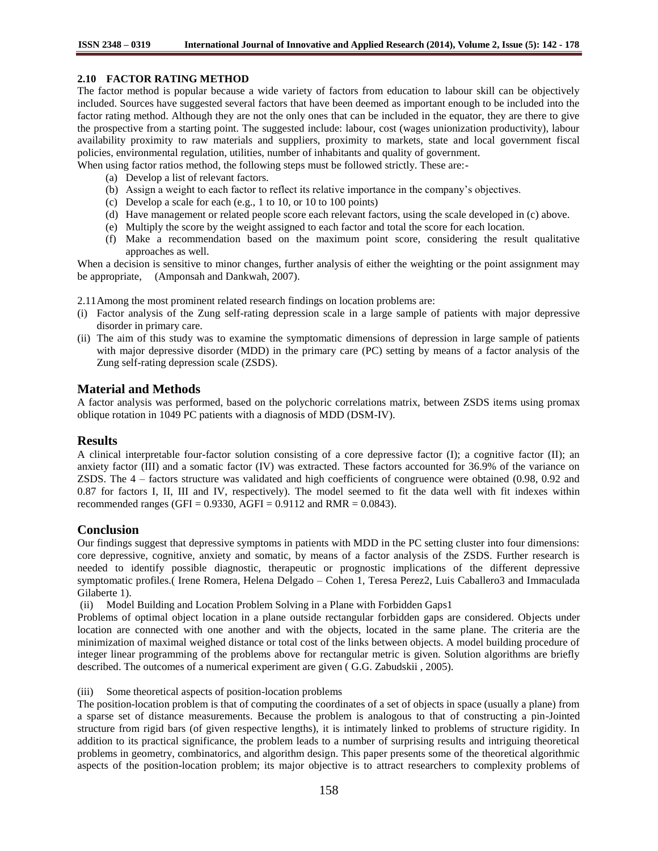# **2.10 FACTOR RATING METHOD**

The factor method is popular because a wide variety of factors from education to labour skill can be objectively included. Sources have suggested several factors that have been deemed as important enough to be included into the factor rating method. Although they are not the only ones that can be included in the equator, they are there to give the prospective from a starting point. The suggested include: labour, cost (wages unionization productivity), labour availability proximity to raw materials and suppliers, proximity to markets, state and local government fiscal policies, environmental regulation, utilities, number of inhabitants and quality of government.

When using factor ratios method, the following steps must be followed strictly. These are:-

- (a) Develop a list of relevant factors.
- (b) Assign a weight to each factor to reflect its relative importance in the company"s objectives.
- (c) Develop a scale for each (e.g., 1 to 10, or 10 to 100 points)
- (d) Have management or related people score each relevant factors, using the scale developed in (c) above.
- (e) Multiply the score by the weight assigned to each factor and total the score for each location.
- (f) Make a recommendation based on the maximum point score, considering the result qualitative approaches as well.

When a decision is sensitive to minor changes, further analysis of either the weighting or the point assignment may be appropriate, (Amponsah and Dankwah, 2007).

2.11Among the most prominent related research findings on location problems are:

- (i) Factor analysis of the Zung self-rating depression scale in a large sample of patients with major depressive disorder in primary care.
- (ii) The aim of this study was to examine the symptomatic dimensions of depression in large sample of patients with major depressive disorder (MDD) in the primary care (PC) setting by means of a factor analysis of the Zung self-rating depression scale (ZSDS).

# **Material and Methods**

A factor analysis was performed, based on the polychoric correlations matrix, between ZSDS items using promax oblique rotation in 1049 PC patients with a diagnosis of MDD (DSM-IV).

## **Results**

A clinical interpretable four-factor solution consisting of a core depressive factor (I); a cognitive factor (II); an anxiety factor (III) and a somatic factor (IV) was extracted. These factors accounted for 36.9% of the variance on ZSDS. The 4 – factors structure was validated and high coefficients of congruence were obtained (0.98, 0.92 and 0.87 for factors I, II, III and IV, respectively). The model seemed to fit the data well with fit indexes within recommended ranges (GFI =  $0.9330$ , AGFI =  $0.9112$  and RMR =  $0.0843$ ).

# **Conclusion**

Our findings suggest that depressive symptoms in patients with MDD in the PC setting cluster into four dimensions: core depressive, cognitive, anxiety and somatic, by means of a factor analysis of the ZSDS. Further research is needed to identify possible diagnostic, therapeutic or prognostic implications of the different depressive symptomatic profiles.( Irene Romera, Helena Delgado – Cohen 1, Teresa Perez2, Luis Caballero3 and Immaculada Gilaberte 1).

(ii) Model Building and Location Problem Solving in a Plane with Forbidden Gaps1

Problems of optimal object location in a plane outside rectangular forbidden gaps are considered. Objects under location are connected with one another and with the objects, located in the same plane. The criteria are the minimization of maximal weighed distance or total cost of the links between objects. A model building procedure of integer linear programming of the problems above for rectangular metric is given. Solution algorithms are briefly described. The outcomes of a numerical experiment are given ( G.G. Zabudskii , 2005).

(iii) Some theoretical aspects of position-location problems

The position-location problem is that of computing the coordinates of a set of objects in space (usually a plane) from a sparse set of distance measurements. Because the problem is analogous to that of constructing a pin-Jointed structure from rigid bars (of given respective lengths), it is intimately linked to problems of structure rigidity. In addition to its practical significance, the problem leads to a number of surprising results and intriguing theoretical problems in geometry, combinatorics, and algorithm design. This paper presents some of the theoretical algorithmic aspects of the position-location problem; its major objective is to attract researchers to complexity problems of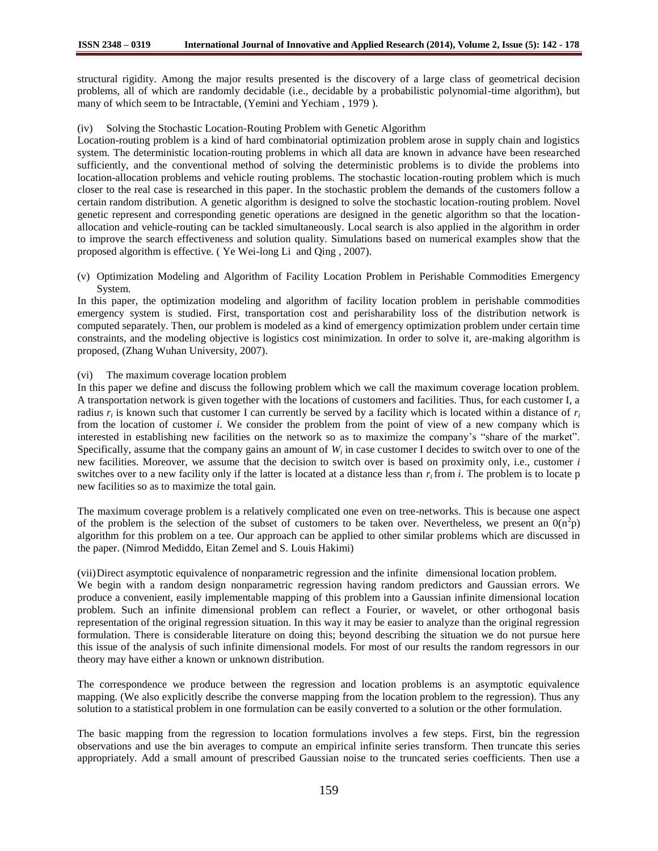structural rigidity. Among the major results presented is the discovery of a large class of geometrical decision problems, all of which are randomly decidable (i.e., decidable by a probabilistic polynomial-time algorithm), but many of which seem to be Intractable, (Yemini and Yechiam , 1979 ).

(iv) Solving the Stochastic Location-Routing Problem with Genetic Algorithm

Location-routing problem is a kind of hard combinatorial optimization problem arose in supply chain and logistics system. The deterministic location-routing problems in which all data are known in advance have been researched sufficiently, and the conventional method of solving the deterministic problems is to divide the problems into location-allocation problems and vehicle routing problems. The stochastic location-routing problem which is much closer to the real case is researched in this paper. In the stochastic problem the demands of the customers follow a certain random distribution. A genetic algorithm is designed to solve the stochastic location-routing problem. Novel genetic represent and corresponding genetic operations are designed in the genetic algorithm so that the locationallocation and vehicle-routing can be tackled simultaneously. Local search is also applied in the algorithm in order to improve the search effectiveness and solution quality. Simulations based on numerical examples show that the proposed algorithm is effective. ( Ye Wei-long Li and Qing , 2007).

(v) Optimization Modeling and Algorithm of Facility Location Problem in Perishable Commodities Emergency System.

In this paper, the optimization modeling and algorithm of facility location problem in perishable commodities emergency system is studied. First, transportation cost and perisharability loss of the distribution network is computed separately. Then, our problem is modeled as a kind of emergency optimization problem under certain time constraints, and the modeling objective is logistics cost minimization. In order to solve it, are-making algorithm is proposed, (Zhang Wuhan University, 2007).

#### (vi) The maximum coverage location problem

In this paper we define and discuss the following problem which we call the maximum coverage location problem. A transportation network is given together with the locations of customers and facilities. Thus, for each customer I, a radius *r<sup>i</sup>* is known such that customer I can currently be served by a facility which is located within a distance of *r<sup>i</sup>* from the location of customer *i*. We consider the problem from the point of view of a new company which is interested in establishing new facilities on the network so as to maximize the company"s "share of the market". Specifically, assume that the company gains an amount of *W<sup>i</sup>* in case customer I decides to switch over to one of the new facilities. Moreover, we assume that the decision to switch over is based on proximity only, i.e., customer *i* switches over to a new facility only if the latter is located at a distance less than *r<sup>i</sup>* from *i*. The problem is to locate p new facilities so as to maximize the total gain.

The maximum coverage problem is a relatively complicated one even on tree-networks. This is because one aspect of the problem is the selection of the subset of customers to be taken over. Nevertheless, we present an  $0(n^2p)$ algorithm for this problem on a tee. Our approach can be applied to other similar problems which are discussed in the paper. (Nimrod Mediddo, Eitan Zemel and S. Louis Hakimi)

(vii)Direct asymptotic equivalence of nonparametric regression and the infinite dimensional location problem. We begin with a random design nonparametric regression having random predictors and Gaussian errors. We produce a convenient, easily implementable mapping of this problem into a Gaussian infinite dimensional location problem. Such an infinite dimensional problem can reflect a Fourier, or wavelet, or other orthogonal basis representation of the original regression situation. In this way it may be easier to analyze than the original regression formulation. There is considerable literature on doing this; beyond describing the situation we do not pursue here this issue of the analysis of such infinite dimensional models. For most of our results the random regressors in our theory may have either a known or unknown distribution.

The correspondence we produce between the regression and location problems is an asymptotic equivalence mapping. (We also explicitly describe the converse mapping from the location problem to the regression). Thus any solution to a statistical problem in one formulation can be easily converted to a solution or the other formulation.

The basic mapping from the regression to location formulations involves a few steps. First, bin the regression observations and use the bin averages to compute an empirical infinite series transform. Then truncate this series appropriately. Add a small amount of prescribed Gaussian noise to the truncated series coefficients. Then use a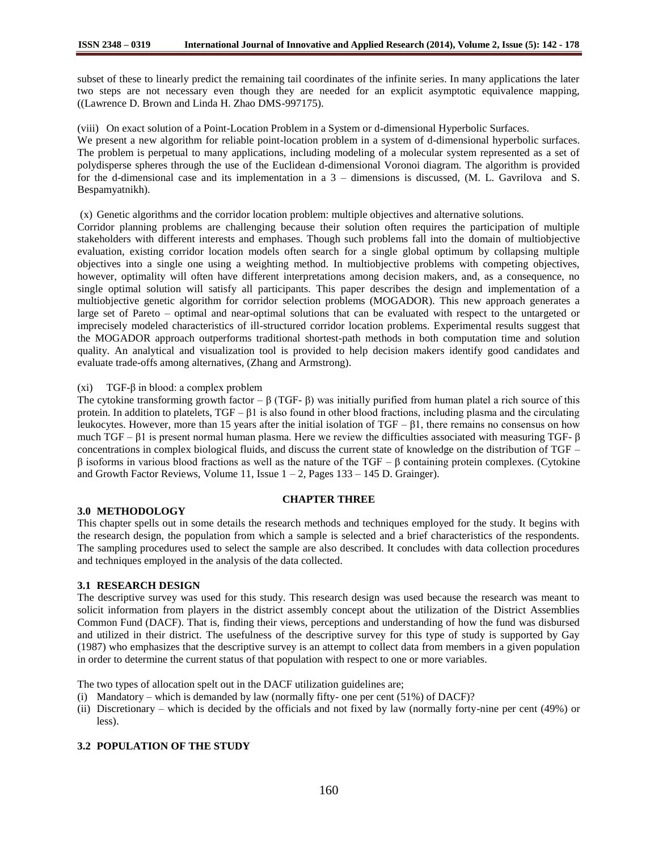subset of these to linearly predict the remaining tail coordinates of the infinite series. In many applications the later two steps are not necessary even though they are needed for an explicit asymptotic equivalence mapping, ((Lawrence D. Brown and Linda H. Zhao DMS-997175).

(viii) On exact solution of a Point-Location Problem in a System or d-dimensional Hyperbolic Surfaces.

We present a new algorithm for reliable point-location problem in a system of d-dimensional hyperbolic surfaces. The problem is perpetual to many applications, including modeling of a molecular system represented as a set of polydisperse spheres through the use of the Euclidean d-dimensional Voronoi diagram. The algorithm is provided for the d-dimensional case and its implementation in a 3 – dimensions is discussed, (M. L. Gavrilova and S. Bespamyatnikh).

(x) Genetic algorithms and the corridor location problem: multiple objectives and alternative solutions.

Corridor planning problems are challenging because their solution often requires the participation of multiple stakeholders with different interests and emphases. Though such problems fall into the domain of multiobjective evaluation, existing corridor location models often search for a single global optimum by collapsing multiple objectives into a single one using a weighting method. In multiobjective problems with competing objectives, however, optimality will often have different interpretations among decision makers, and, as a consequence, no single optimal solution will satisfy all participants. This paper describes the design and implementation of a multiobjective genetic algorithm for corridor selection problems (MOGADOR). This new approach generates a large set of Pareto – optimal and near-optimal solutions that can be evaluated with respect to the untargeted or imprecisely modeled characteristics of ill-structured corridor location problems. Experimental results suggest that the MOGADOR approach outperforms traditional shortest-path methods in both computation time and solution quality. An analytical and visualization tool is provided to help decision makers identify good candidates and evaluate trade-offs among alternatives, (Zhang and Armstrong).

(xi) TGF-β in blood: a complex problem

The cytokine transforming growth factor –  $\beta$  (TGF-  $\beta$ ) was initially purified from human platel a rich source of this protein. In addition to platelets,  $TGF - \beta 1$  is also found in other blood fractions, including plasma and the circulating leukocytes. However, more than 15 years after the initial isolation of  $TGF - \beta 1$ , there remains no consensus on how much TGF – β1 is present normal human plasma. Here we review the difficulties associated with measuring TGF- β concentrations in complex biological fluids, and discuss the current state of knowledge on the distribution of TGF – β isoforms in various blood fractions as well as the nature of the TGF – β containing protein complexes. (Cytokine and Growth Factor Reviews, Volume 11, Issue  $1 - 2$ , Pages  $133 - 145$  D. Grainger).

## **3.0 METHODOLOGY**

This chapter spells out in some details the research methods and techniques employed for the study. It begins with the research design, the population from which a sample is selected and a brief characteristics of the respondents. The sampling procedures used to select the sample are also described. It concludes with data collection procedures and techniques employed in the analysis of the data collected.

**CHAPTER THREE**

## **3.1 RESEARCH DESIGN**

The descriptive survey was used for this study. This research design was used because the research was meant to solicit information from players in the district assembly concept about the utilization of the District Assemblies Common Fund (DACF). That is, finding their views, perceptions and understanding of how the fund was disbursed and utilized in their district. The usefulness of the descriptive survey for this type of study is supported by Gay (1987) who emphasizes that the descriptive survey is an attempt to collect data from members in a given population in order to determine the current status of that population with respect to one or more variables.

The two types of allocation spelt out in the DACF utilization guidelines are;

- (i) Mandatory which is demanded by law (normally fifty- one per cent (51%) of DACF)?
- (ii) Discretionary which is decided by the officials and not fixed by law (normally forty-nine per cent (49%) or less).

## **3.2 POPULATION OF THE STUDY**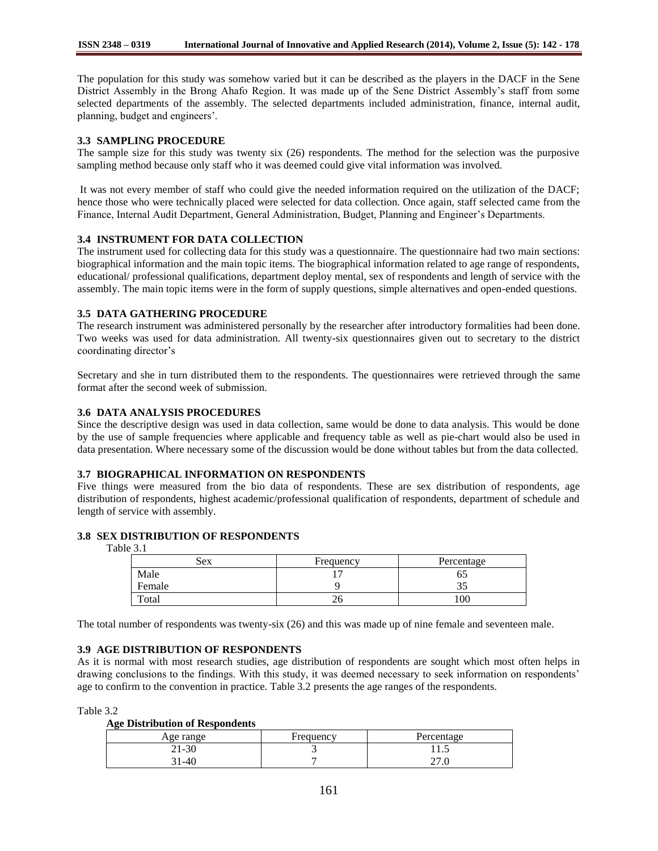The population for this study was somehow varied but it can be described as the players in the DACF in the Sene District Assembly in the Brong Ahafo Region. It was made up of the Sene District Assembly"s staff from some selected departments of the assembly. The selected departments included administration, finance, internal audit, planning, budget and engineers".

#### **3.3 SAMPLING PROCEDURE**

The sample size for this study was twenty six (26) respondents. The method for the selection was the purposive sampling method because only staff who it was deemed could give vital information was involved.

It was not every member of staff who could give the needed information required on the utilization of the DACF; hence those who were technically placed were selected for data collection. Once again, staff selected came from the Finance, Internal Audit Department, General Administration, Budget, Planning and Engineer"s Departments.

## **3.4 INSTRUMENT FOR DATA COLLECTION**

The instrument used for collecting data for this study was a questionnaire. The questionnaire had two main sections: biographical information and the main topic items. The biographical information related to age range of respondents, educational/ professional qualifications, department deploy mental, sex of respondents and length of service with the assembly. The main topic items were in the form of supply questions, simple alternatives and open-ended questions.

## **3.5 DATA GATHERING PROCEDURE**

The research instrument was administered personally by the researcher after introductory formalities had been done. Two weeks was used for data administration. All twenty-six questionnaires given out to secretary to the district coordinating director"s

Secretary and she in turn distributed them to the respondents. The questionnaires were retrieved through the same format after the second week of submission.

## **3.6 DATA ANALYSIS PROCEDURES**

Since the descriptive design was used in data collection, same would be done to data analysis. This would be done by the use of sample frequencies where applicable and frequency table as well as pie-chart would also be used in data presentation. Where necessary some of the discussion would be done without tables but from the data collected.

## **3.7 BIOGRAPHICAL INFORMATION ON RESPONDENTS**

Five things were measured from the bio data of respondents. These are sex distribution of respondents, age distribution of respondents, highest academic/professional qualification of respondents, department of schedule and length of service with assembly.

#### **3.8 SEX DISTRIBUTION OF RESPONDENTS**

Table 3.1

| Sex    | Frequency | Percentage |
|--------|-----------|------------|
| Male   |           |            |
| Female |           | ر. ر       |
| Total  | ∠∪        | 100        |

The total number of respondents was twenty-six (26) and this was made up of nine female and seventeen male.

## **3.9 AGE DISTRIBUTION OF RESPONDENTS**

As it is normal with most research studies, age distribution of respondents are sought which most often helps in drawing conclusions to the findings. With this study, it was deemed necessary to seek information on respondents' age to confirm to the convention in practice. Table 3.2 presents the age ranges of the respondents.

Table 3.2

#### **Age Distribution of Respondents**

| Age range | Frequency | Percentage           |
|-----------|-----------|----------------------|
| $21 - 30$ |           | 11.J                 |
| $-40$     |           | $\sim$ $\sim$ $\sim$ |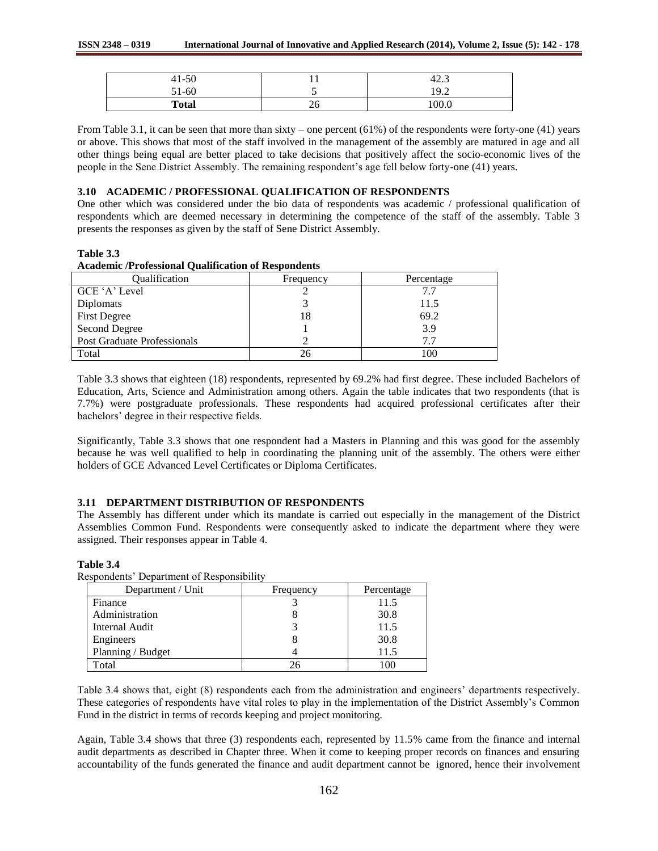| $41 - 50$    | . . | $\sqrt{2}$<br>$\sim$<br>42.J |
|--------------|-----|------------------------------|
| $0.1 - 60$   | ັ   | 19.2                         |
| <b>Total</b> | ∠∪  | 000                          |

From Table 3.1, it can be seen that more than sixty – one percent  $(61\%)$  of the respondents were forty-one  $(41)$  years or above. This shows that most of the staff involved in the management of the assembly are matured in age and all other things being equal are better placed to take decisions that positively affect the socio-economic lives of the people in the Sene District Assembly. The remaining respondent"s age fell below forty-one (41) years.

## **3.10 ACADEMIC / PROFESSIONAL QUALIFICATION OF RESPONDENTS**

One other which was considered under the bio data of respondents was academic / professional qualification of respondents which are deemed necessary in determining the competence of the staff of the assembly. Table 3 presents the responses as given by the staff of Sene District Assembly.

## **Table 3.3**

**Table 3.4**

#### **Academic /Professional Qualification of Respondents**

| Oualification               | Frequency | Percentage |
|-----------------------------|-----------|------------|
| GCE 'A' Level               |           |            |
| Diplomats                   |           | 11.5       |
| <b>First Degree</b>         | 18        | 69.2       |
| Second Degree               |           | 3.9        |
| Post Graduate Professionals |           |            |
| Total                       |           | 100        |

Table 3.3 shows that eighteen (18) respondents, represented by 69.2% had first degree. These included Bachelors of Education, Arts, Science and Administration among others. Again the table indicates that two respondents (that is 7.7%) were postgraduate professionals. These respondents had acquired professional certificates after their bachelors" degree in their respective fields.

Significantly, Table 3.3 shows that one respondent had a Masters in Planning and this was good for the assembly because he was well qualified to help in coordinating the planning unit of the assembly. The others were either holders of GCE Advanced Level Certificates or Diploma Certificates.

## **3.11 DEPARTMENT DISTRIBUTION OF RESPONDENTS**

The Assembly has different under which its mandate is carried out especially in the management of the District Assemblies Common Fund. Respondents were consequently asked to indicate the department where they were assigned. Their responses appear in Table 4.

| Respondents' Department of Responsibility |           |            |
|-------------------------------------------|-----------|------------|
| Department / Unit                         | Frequency | Percentage |
| Finance                                   |           | 11.5       |
| Administration                            |           | 30.8       |
| Internal Audit                            |           | 11.5       |
| Engineers                                 |           | 30.8       |
| Planning / Budget                         |           | 11.5       |
| Total                                     |           |            |

Table 3.4 shows that, eight (8) respondents each from the administration and engineers' departments respectively. These categories of respondents have vital roles to play in the implementation of the District Assembly"s Common Fund in the district in terms of records keeping and project monitoring.

Again, Table 3.4 shows that three (3) respondents each, represented by 11.5% came from the finance and internal audit departments as described in Chapter three. When it come to keeping proper records on finances and ensuring accountability of the funds generated the finance and audit department cannot be ignored, hence their involvement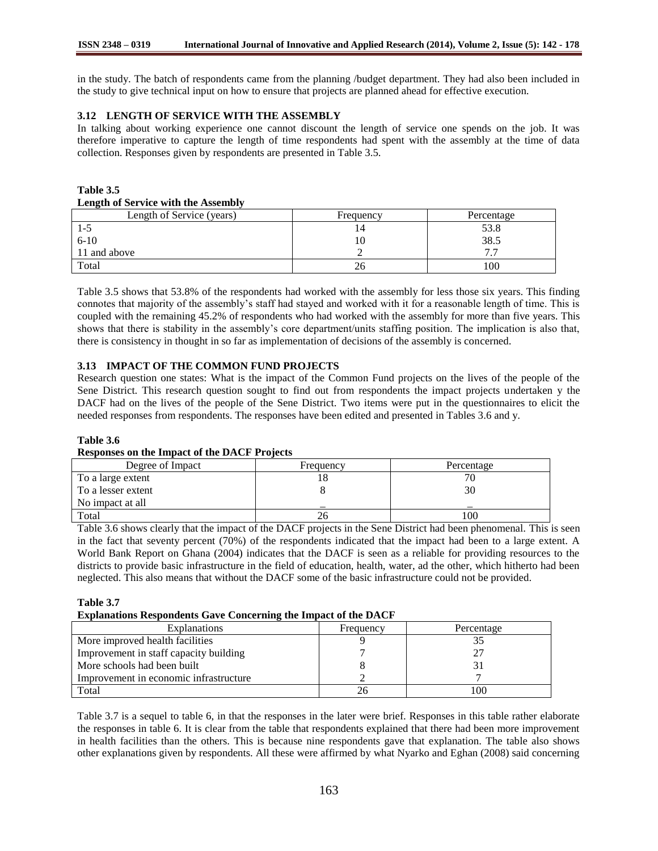in the study. The batch of respondents came from the planning /budget department. They had also been included in the study to give technical input on how to ensure that projects are planned ahead for effective execution.

# **3.12 LENGTH OF SERVICE WITH THE ASSEMBLY**

In talking about working experience one cannot discount the length of service one spends on the job. It was therefore imperative to capture the length of time respondents had spent with the assembly at the time of data collection. Responses given by respondents are presented in Table 3.5.

**Table 3.5 Length of Service with the Assembly**

| Length of Service (years) | Frequency | Percentage               |
|---------------------------|-----------|--------------------------|
| L-J                       | 14        | 53.8                     |
| $6 - 10$                  | 10        | 38.5                     |
| 11 and above              |           | $\overline{\phantom{a}}$ |
| Total                     | ZQ        | 100                      |

Table 3.5 shows that 53.8% of the respondents had worked with the assembly for less those six years. This finding connotes that majority of the assembly"s staff had stayed and worked with it for a reasonable length of time. This is coupled with the remaining 45.2% of respondents who had worked with the assembly for more than five years. This shows that there is stability in the assembly"s core department/units staffing position. The implication is also that, there is consistency in thought in so far as implementation of decisions of the assembly is concerned.

# **3.13 IMPACT OF THE COMMON FUND PROJECTS**

Research question one states: What is the impact of the Common Fund projects on the lives of the people of the Sene District. This research question sought to find out from respondents the impact projects undertaken y the DACF had on the lives of the people of the Sene District. Two items were put in the questionnaires to elicit the needed responses from respondents. The responses have been edited and presented in Tables 3.6 and y.

## **Table 3.6**

#### **Responses on the Impact of the DACF Projects**

| Degree of Impact   | Frequency | Percentage |
|--------------------|-----------|------------|
| To a large extent  |           | 70         |
| To a lesser extent |           | 30         |
| No impact at all   |           |            |
| Total              |           | 100        |

Table 3.6 shows clearly that the impact of the DACF projects in the Sene District had been phenomenal. This is seen in the fact that seventy percent (70%) of the respondents indicated that the impact had been to a large extent. A World Bank Report on Ghana (2004) indicates that the DACF is seen as a reliable for providing resources to the districts to provide basic infrastructure in the field of education, health, water, ad the other, which hitherto had been neglected. This also means that without the DACF some of the basic infrastructure could not be provided.

#### **Table 3.7**

# **Explanations Respondents Gave Concerning the Impact of the DACF**

| <b>Explanations</b>                    | Frequency | Percentage |
|----------------------------------------|-----------|------------|
| More improved health facilities        |           |            |
| Improvement in staff capacity building |           |            |
| More schools had been built            |           |            |
| Improvement in economic infrastructure |           |            |
| Total                                  |           | 100        |

Table 3.7 is a sequel to table 6, in that the responses in the later were brief. Responses in this table rather elaborate the responses in table 6. It is clear from the table that respondents explained that there had been more improvement in health facilities than the others. This is because nine respondents gave that explanation. The table also shows other explanations given by respondents. All these were affirmed by what Nyarko and Eghan (2008) said concerning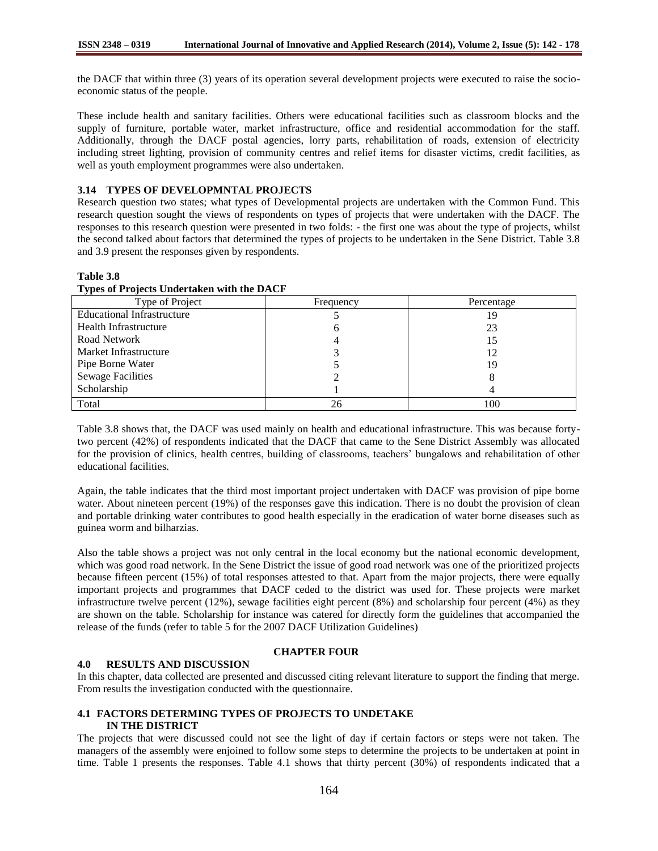the DACF that within three (3) years of its operation several development projects were executed to raise the socioeconomic status of the people.

These include health and sanitary facilities. Others were educational facilities such as classroom blocks and the supply of furniture, portable water, market infrastructure, office and residential accommodation for the staff. Additionally, through the DACF postal agencies, lorry parts, rehabilitation of roads, extension of electricity including street lighting, provision of community centres and relief items for disaster victims, credit facilities, as well as youth employment programmes were also undertaken.

# **3.14 TYPES OF DEVELOPMNTAL PROJECTS**

Research question two states; what types of Developmental projects are undertaken with the Common Fund. This research question sought the views of respondents on types of projects that were undertaken with the DACF. The responses to this research question were presented in two folds: - the first one was about the type of projects, whilst the second talked about factors that determined the types of projects to be undertaken in the Sene District. Table 3.8 and 3.9 present the responses given by respondents.

#### Type of Project Frequency Frequency Percentage Educational Infrastructure Health Infrastructure Road Network Market Infrastructure Pipe Borne Water Sewage Facilities Scholarship 5 6 4 3 5 2 1 19 23 15 12 19 8 4 Total 26 100

#### **Table 3.8 Types of Projects Undertaken with the DACF**

Table 3.8 shows that, the DACF was used mainly on health and educational infrastructure. This was because fortytwo percent (42%) of respondents indicated that the DACF that came to the Sene District Assembly was allocated for the provision of clinics, health centres, building of classrooms, teachers" bungalows and rehabilitation of other educational facilities.

Again, the table indicates that the third most important project undertaken with DACF was provision of pipe borne water. About nineteen percent (19%) of the responses gave this indication. There is no doubt the provision of clean and portable drinking water contributes to good health especially in the eradication of water borne diseases such as guinea worm and bilharzias.

Also the table shows a project was not only central in the local economy but the national economic development, which was good road network. In the Sene District the issue of good road network was one of the prioritized projects because fifteen percent (15%) of total responses attested to that. Apart from the major projects, there were equally important projects and programmes that DACF ceded to the district was used for. These projects were market infrastructure twelve percent (12%), sewage facilities eight percent (8%) and scholarship four percent (4%) as they are shown on the table. Scholarship for instance was catered for directly form the guidelines that accompanied the release of the funds (refer to table 5 for the 2007 DACF Utilization Guidelines)

## **4.0 RESULTS AND DISCUSSION**

# **CHAPTER FOUR**

In this chapter, data collected are presented and discussed citing relevant literature to support the finding that merge. From results the investigation conducted with the questionnaire.

#### **4.1 FACTORS DETERMING TYPES OF PROJECTS TO UNDETAKE IN THE DISTRICT**

The projects that were discussed could not see the light of day if certain factors or steps were not taken. The managers of the assembly were enjoined to follow some steps to determine the projects to be undertaken at point in time. Table 1 presents the responses. Table 4.1 shows that thirty percent (30%) of respondents indicated that a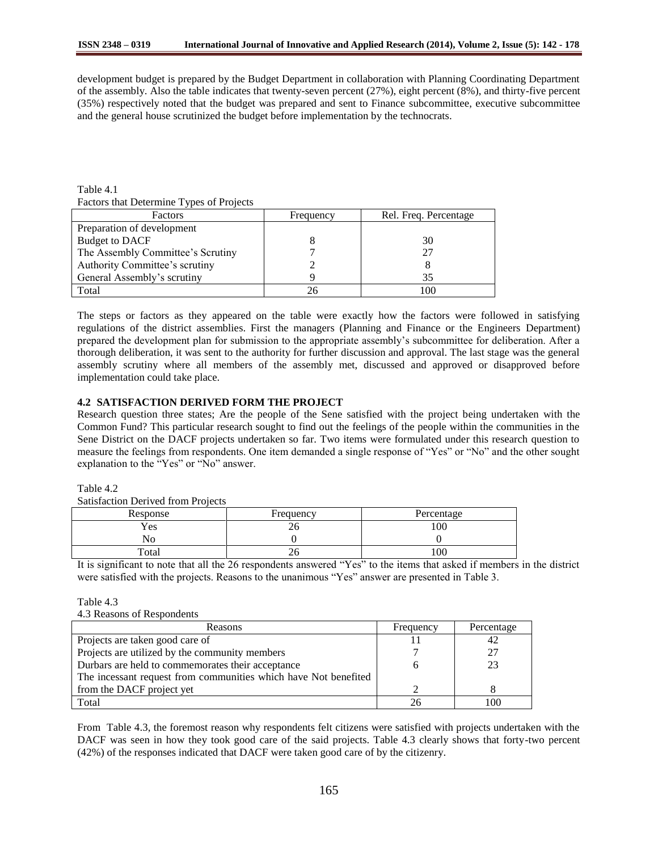development budget is prepared by the Budget Department in collaboration with Planning Coordinating Department of the assembly. Also the table indicates that twenty-seven percent (27%), eight percent (8%), and thirty-five percent (35%) respectively noted that the budget was prepared and sent to Finance subcommittee, executive subcommittee and the general house scrutinized the budget before implementation by the technocrats.

Table 4.1 Factors that Determine Types of Projects

| $\frac{1}{2}$ and $\frac{1}{2}$ and $\frac{1}{2}$ becommon $\frac{1}{2}$ , $\frac{1}{2}$ becomes the set of $\frac{1}{2}$ |           |                       |  |
|---------------------------------------------------------------------------------------------------------------------------|-----------|-----------------------|--|
| Factors                                                                                                                   | Frequency | Rel. Freq. Percentage |  |
| Preparation of development                                                                                                |           |                       |  |
| <b>Budget to DACF</b>                                                                                                     |           | 30                    |  |
| The Assembly Committee's Scrutiny                                                                                         |           |                       |  |
| Authority Committee's scrutiny                                                                                            |           |                       |  |
| General Assembly's scrutiny                                                                                               |           | 35                    |  |
| Total                                                                                                                     |           |                       |  |

The steps or factors as they appeared on the table were exactly how the factors were followed in satisfying regulations of the district assemblies. First the managers (Planning and Finance or the Engineers Department) prepared the development plan for submission to the appropriate assembly"s subcommittee for deliberation. After a thorough deliberation, it was sent to the authority for further discussion and approval. The last stage was the general assembly scrutiny where all members of the assembly met, discussed and approved or disapproved before implementation could take place.

# **4.2 SATISFACTION DERIVED FORM THE PROJECT**

Research question three states; Are the people of the Sene satisfied with the project being undertaken with the Common Fund? This particular research sought to find out the feelings of the people within the communities in the Sene District on the DACF projects undertaken so far. Two items were formulated under this research question to measure the feelings from respondents. One item demanded a single response of "Yes" or "No" and the other sought explanation to the "Yes" or "No" answer.

Table 4.2

Satisfaction Derived from Projects

| Response | Frequency | Percentage |
|----------|-----------|------------|
| Yes      | ∠∪        | 100        |
| No       |           |            |
| Total    | ∠∪        | $00_1$     |

It is significant to note that all the 26 respondents answered "Yes" to the items that asked if members in the district were satisfied with the projects. Reasons to the unanimous "Yes" answer are presented in Table 3.

Table 4.3

| Reasons                                                         | Frequency | Percentage |
|-----------------------------------------------------------------|-----------|------------|
| Projects are taken good care of                                 |           | 42         |
| Projects are utilized by the community members                  |           | 27         |
| Durbars are held to commemorates their acceptance               |           | 23         |
| The incessant request from communities which have Not benefited |           |            |
| from the DACF project yet                                       |           |            |
| Total                                                           |           | 100        |

From Table 4.3, the foremost reason why respondents felt citizens were satisfied with projects undertaken with the DACF was seen in how they took good care of the said projects. Table 4.3 clearly shows that forty-two percent (42%) of the responses indicated that DACF were taken good care of by the citizenry.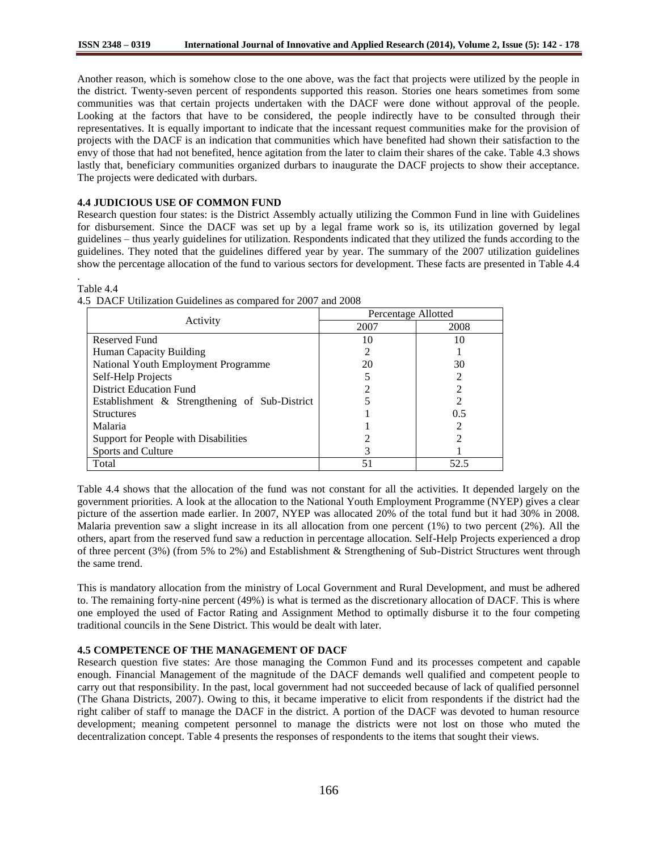Another reason, which is somehow close to the one above, was the fact that projects were utilized by the people in the district. Twenty-seven percent of respondents supported this reason. Stories one hears sometimes from some communities was that certain projects undertaken with the DACF were done without approval of the people. Looking at the factors that have to be considered, the people indirectly have to be consulted through their representatives. It is equally important to indicate that the incessant request communities make for the provision of projects with the DACF is an indication that communities which have benefited had shown their satisfaction to the envy of those that had not benefited, hence agitation from the later to claim their shares of the cake. Table 4.3 shows lastly that, beneficiary communities organized durbars to inaugurate the DACF projects to show their acceptance. The projects were dedicated with durbars.

#### **4.4 JUDICIOUS USE OF COMMON FUND**

Research question four states: is the District Assembly actually utilizing the Common Fund in line with Guidelines for disbursement. Since the DACF was set up by a legal frame work so is, its utilization governed by legal guidelines – thus yearly guidelines for utilization. Respondents indicated that they utilized the funds according to the guidelines. They noted that the guidelines differed year by year. The summary of the 2007 utilization guidelines show the percentage allocation of the fund to various sectors for development. These facts are presented in Table 4.4 .

#### Table 4.4

|                                               | Percentage Allotted |      |  |
|-----------------------------------------------|---------------------|------|--|
| Activity                                      | 2007                | 2008 |  |
| Reserved Fund                                 | 10                  | 10   |  |
| Human Capacity Building                       |                     |      |  |
| National Youth Employment Programme           | 20                  | 30   |  |
| Self-Help Projects                            |                     |      |  |
| <b>District Education Fund</b>                |                     |      |  |
| Establishment & Strengthening of Sub-District |                     |      |  |
| <b>Structures</b>                             |                     | 0.5  |  |
| Malaria                                       |                     |      |  |
| Support for People with Disabilities          |                     |      |  |
| Sports and Culture                            |                     |      |  |
| Total                                         | 51                  | 52.5 |  |

4.5 DACF Utilization Guidelines as compared for 2007 and 2008

Table 4.4 shows that the allocation of the fund was not constant for all the activities. It depended largely on the government priorities. A look at the allocation to the National Youth Employment Programme (NYEP) gives a clear picture of the assertion made earlier. In 2007, NYEP was allocated 20% of the total fund but it had 30% in 2008. Malaria prevention saw a slight increase in its all allocation from one percent (1%) to two percent (2%). All the others, apart from the reserved fund saw a reduction in percentage allocation. Self-Help Projects experienced a drop of three percent (3%) (from 5% to 2%) and Establishment & Strengthening of Sub-District Structures went through the same trend.

This is mandatory allocation from the ministry of Local Government and Rural Development, and must be adhered to. The remaining forty-nine percent (49%) is what is termed as the discretionary allocation of DACF. This is where one employed the used of Factor Rating and Assignment Method to optimally disburse it to the four competing traditional councils in the Sene District. This would be dealt with later.

## **4.5 COMPETENCE OF THE MANAGEMENT OF DACF**

Research question five states: Are those managing the Common Fund and its processes competent and capable enough. Financial Management of the magnitude of the DACF demands well qualified and competent people to carry out that responsibility. In the past, local government had not succeeded because of lack of qualified personnel (The Ghana Districts, 2007). Owing to this, it became imperative to elicit from respondents if the district had the right caliber of staff to manage the DACF in the district. A portion of the DACF was devoted to human resource development; meaning competent personnel to manage the districts were not lost on those who muted the decentralization concept. Table 4 presents the responses of respondents to the items that sought their views.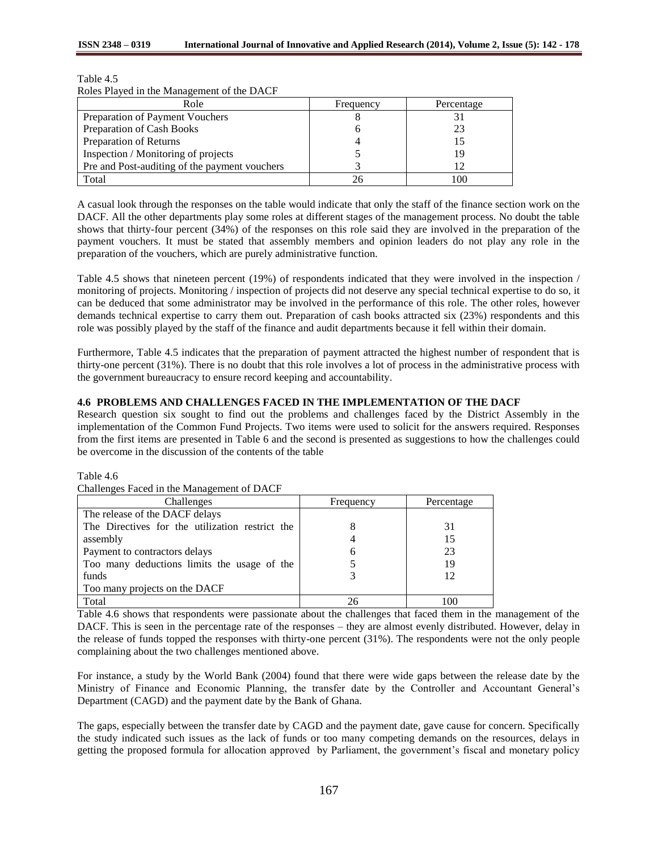| ROLES F TAYED IN THE MANAgement OF the DACT   |           |            |
|-----------------------------------------------|-----------|------------|
| Role                                          | Frequency | Percentage |
| Preparation of Payment Vouchers               |           |            |
| Preparation of Cash Books                     |           | 23         |
| Preparation of Returns                        |           |            |
| Inspection / Monitoring of projects           |           | 19         |
| Pre and Post-auditing of the payment vouchers |           |            |
| Total                                         |           | 100        |

Table 4.5 Roles Played in the Management of the DACF

A casual look through the responses on the table would indicate that only the staff of the finance section work on the DACF. All the other departments play some roles at different stages of the management process. No doubt the table shows that thirty-four percent (34%) of the responses on this role said they are involved in the preparation of the payment vouchers. It must be stated that assembly members and opinion leaders do not play any role in the preparation of the vouchers, which are purely administrative function.

Table 4.5 shows that nineteen percent (19%) of respondents indicated that they were involved in the inspection / monitoring of projects. Monitoring / inspection of projects did not deserve any special technical expertise to do so, it can be deduced that some administrator may be involved in the performance of this role. The other roles, however demands technical expertise to carry them out. Preparation of cash books attracted six (23%) respondents and this role was possibly played by the staff of the finance and audit departments because it fell within their domain.

Furthermore, Table 4.5 indicates that the preparation of payment attracted the highest number of respondent that is thirty-one percent (31%). There is no doubt that this role involves a lot of process in the administrative process with the government bureaucracy to ensure record keeping and accountability.

# **4.6 PROBLEMS AND CHALLENGES FACED IN THE IMPLEMENTATION OF THE DACF**

Research question six sought to find out the problems and challenges faced by the District Assembly in the implementation of the Common Fund Projects. Two items were used to solicit for the answers required. Responses from the first items are presented in Table 6 and the second is presented as suggestions to how the challenges could be overcome in the discussion of the contents of the table

Table 4.6

| Chancing C Paccu III the Management of DACT     |           |            |
|-------------------------------------------------|-----------|------------|
| Challenges                                      | Frequency | Percentage |
| The release of the DACF delays                  |           |            |
| The Directives for the utilization restrict the |           | 31         |
| assembly                                        |           | 15         |
| Payment to contractors delays                   | n         | 23         |
| Too many deductions limits the usage of the     |           | 19         |
| funds                                           |           | 12         |
| Too many projects on the DACF                   |           |            |
| Total                                           | 26        | 100        |

Challenges Faced in the Management of DACF

Table 4.6 shows that respondents were passionate about the challenges that faced them in the management of the DACF. This is seen in the percentage rate of the responses – they are almost evenly distributed. However, delay in the release of funds topped the responses with thirty-one percent (31%). The respondents were not the only people complaining about the two challenges mentioned above.

For instance, a study by the World Bank (2004) found that there were wide gaps between the release date by the Ministry of Finance and Economic Planning, the transfer date by the Controller and Accountant General"s Department (CAGD) and the payment date by the Bank of Ghana.

The gaps, especially between the transfer date by CAGD and the payment date, gave cause for concern. Specifically the study indicated such issues as the lack of funds or too many competing demands on the resources, delays in getting the proposed formula for allocation approved by Parliament, the government"s fiscal and monetary policy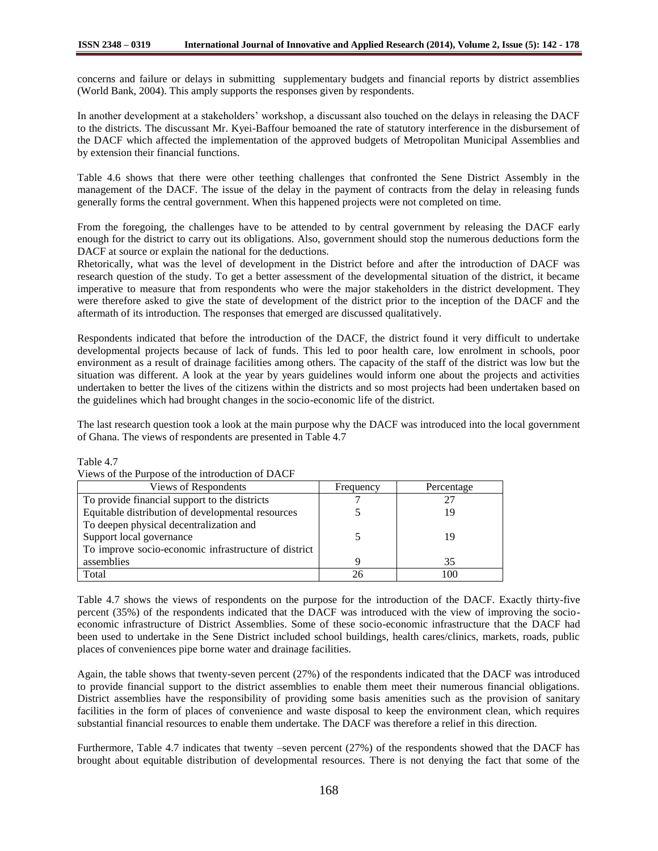concerns and failure or delays in submitting supplementary budgets and financial reports by district assemblies (World Bank, 2004). This amply supports the responses given by respondents.

In another development at a stakeholders" workshop, a discussant also touched on the delays in releasing the DACF to the districts. The discussant Mr. Kyei-Baffour bemoaned the rate of statutory interference in the disbursement of the DACF which affected the implementation of the approved budgets of Metropolitan Municipal Assemblies and by extension their financial functions.

Table 4.6 shows that there were other teething challenges that confronted the Sene District Assembly in the management of the DACF. The issue of the delay in the payment of contracts from the delay in releasing funds generally forms the central government. When this happened projects were not completed on time.

From the foregoing, the challenges have to be attended to by central government by releasing the DACF early enough for the district to carry out its obligations. Also, government should stop the numerous deductions form the DACF at source or explain the national for the deductions.

Rhetorically, what was the level of development in the District before and after the introduction of DACF was research question of the study. To get a better assessment of the developmental situation of the district, it became imperative to measure that from respondents who were the major stakeholders in the district development. They were therefore asked to give the state of development of the district prior to the inception of the DACF and the aftermath of its introduction. The responses that emerged are discussed qualitatively.

Respondents indicated that before the introduction of the DACF, the district found it very difficult to undertake developmental projects because of lack of funds. This led to poor health care, low enrolment in schools, poor environment as a result of drainage facilities among others. The capacity of the staff of the district was low but the situation was different. A look at the year by years guidelines would inform one about the projects and activities undertaken to better the lives of the citizens within the districts and so most projects had been undertaken based on the guidelines which had brought changes in the socio-economic life of the district.

The last research question took a look at the main purpose why the DACF was introduced into the local government of Ghana. The views of respondents are presented in Table 4.7

| Views of the Purpose of the introduction of DACF     |           |            |
|------------------------------------------------------|-----------|------------|
| Views of Respondents                                 | Frequency | Percentage |
| To provide financial support to the districts        |           | 27         |
| Equitable distribution of developmental resources    |           | 19         |
| To deepen physical decentralization and              |           |            |
| Support local governance                             |           | 19         |
| To improve socio-economic infrastructure of district |           |            |
| assemblies                                           |           | 35         |
| Total                                                | 26        | 100        |

Table 4.7

Table 4.7 shows the views of respondents on the purpose for the introduction of the DACF. Exactly thirty-five percent (35%) of the respondents indicated that the DACF was introduced with the view of improving the socioeconomic infrastructure of District Assemblies. Some of these socio-economic infrastructure that the DACF had been used to undertake in the Sene District included school buildings, health cares/clinics, markets, roads, public places of conveniences pipe borne water and drainage facilities.

Again, the table shows that twenty-seven percent (27%) of the respondents indicated that the DACF was introduced to provide financial support to the district assemblies to enable them meet their numerous financial obligations. District assemblies have the responsibility of providing some basis amenities such as the provision of sanitary facilities in the form of places of convenience and waste disposal to keep the environment clean, which requires substantial financial resources to enable them undertake. The DACF was therefore a relief in this direction.

Furthermore, Table 4.7 indicates that twenty –seven percent (27%) of the respondents showed that the DACF has brought about equitable distribution of developmental resources. There is not denying the fact that some of the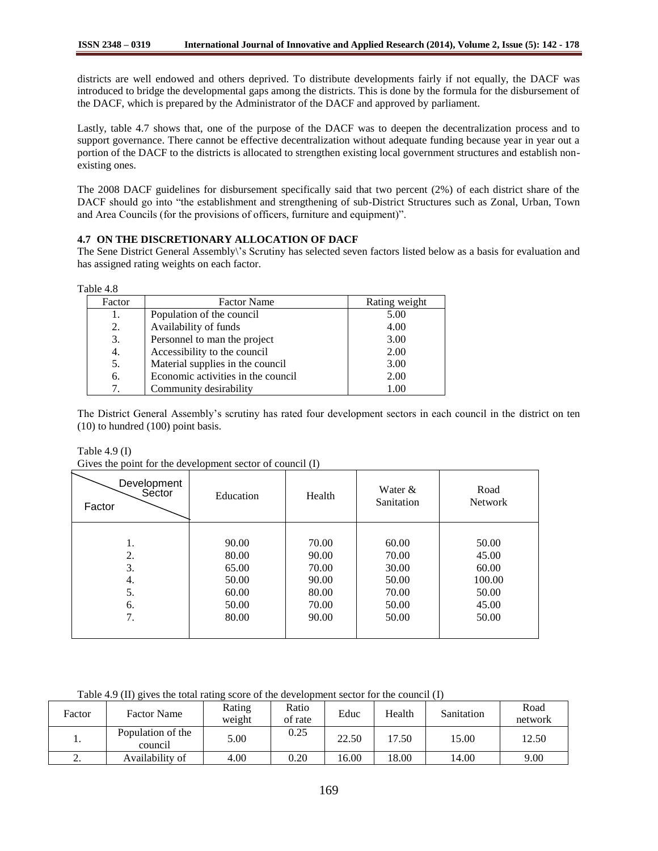districts are well endowed and others deprived. To distribute developments fairly if not equally, the DACF was introduced to bridge the developmental gaps among the districts. This is done by the formula for the disbursement of the DACF, which is prepared by the Administrator of the DACF and approved by parliament.

Lastly, table 4.7 shows that, one of the purpose of the DACF was to deepen the decentralization process and to support governance. There cannot be effective decentralization without adequate funding because year in year out a portion of the DACF to the districts is allocated to strengthen existing local government structures and establish nonexisting ones.

The 2008 DACF guidelines for disbursement specifically said that two percent (2%) of each district share of the DACF should go into "the establishment and strengthening of sub-District Structures such as Zonal, Urban, Town and Area Councils (for the provisions of officers, furniture and equipment)".

# **4.7 ON THE DISCRETIONARY ALLOCATION OF DACF**

The Sene District General Assembly\"s Scrutiny has selected seven factors listed below as a basis for evaluation and has assigned rating weights on each factor.

| Factor | <b>Factor Name</b>                 | Rating weight |
|--------|------------------------------------|---------------|
| 1.     | Population of the council          | 5.00          |
| 2.     | Availability of funds              | 4.00          |
| 3.     | Personnel to man the project       | 3.00          |
| 4.     | Accessibility to the council       | 2.00          |
| 5.     | Material supplies in the council   | 3.00          |
| 6.     | Economic activities in the council | 2.00          |
| 7.     | Community desirability             | 1.00          |

The District General Assembly"s scrutiny has rated four development sectors in each council in the district on ten (10) to hundred (100) point basis.

Table 4.9 (I)

Gives the point for the development sector of council (I)

| Development<br>Sector<br>Factor | Education | Health | Water &<br>Sanitation | Road<br><b>Network</b> |
|---------------------------------|-----------|--------|-----------------------|------------------------|
| 1.                              | 90.00     | 70.00  | 60.00                 | 50.00                  |
| 2.                              | 80.00     | 90.00  | 70.00                 | 45.00                  |
| 3.                              | 65.00     | 70.00  | 30.00                 | 60.00                  |
| 4.                              | 50.00     | 90.00  | 50.00                 | 100.00                 |
| 5.                              | 60.00     | 80.00  | 70.00                 | 50.00                  |
| 6.                              | 50.00     | 70.00  | 50.00                 | 45.00                  |
| 7.                              | 80.00     | 90.00  | 50.00                 | 50.00                  |

Table 4.9 (II) gives the total rating score of the development sector for the council (I)

| Factor    | <b>Factor Name</b>           | Rating<br>weight | Ratio<br>of rate | Educ  | Health | Sanitation | Road<br>network |
|-----------|------------------------------|------------------|------------------|-------|--------|------------|-----------------|
| ı.        | Population of the<br>council | 5.00             | 0.25             | 22.50 | 17.50  | 15.00      | 12.50           |
| <u>L.</u> | Availability of              | 4.00             | 0.20             | 16.00 | 18.00  | 14.00      | 9.00            |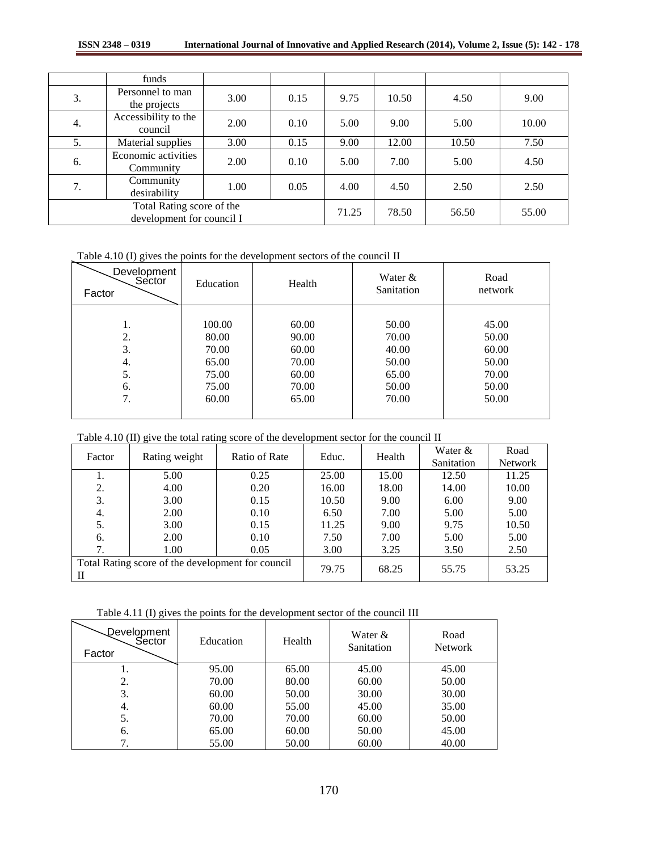|    | funds                                                  |      |      |       |       |       |       |
|----|--------------------------------------------------------|------|------|-------|-------|-------|-------|
| 3. | Personnel to man<br>the projects                       | 3.00 | 0.15 | 9.75  | 10.50 | 4.50  | 9.00  |
| 4. | Accessibility to the<br>council                        | 2.00 | 0.10 | 5.00  | 9.00  | 5.00  | 10.00 |
| 5. | Material supplies                                      | 3.00 | 0.15 | 9.00  | 12.00 | 10.50 | 7.50  |
| 6. | Economic activities<br>Community                       | 2.00 | 0.10 | 5.00  | 7.00  | 5.00  | 4.50  |
| 7. | Community<br>desirability                              | 1.00 | 0.05 | 4.00  | 4.50  | 2.50  | 2.50  |
|    | Total Rating score of the<br>development for council I |      |      | 71.25 | 78.50 | 56.50 | 55.00 |

Table 4.10 (I) gives the points for the development sectors of the council II

| Development<br>Sector<br>Factor | Education | Health | Water $&$<br>Sanitation | Road<br>network |
|---------------------------------|-----------|--------|-------------------------|-----------------|
|                                 |           |        |                         |                 |
| 1.                              | 100.00    | 60.00  | 50.00                   | 45.00           |
| 2.                              | 80.00     | 90.00  | 70.00                   | 50.00           |
| 3.                              | 70.00     | 60.00  | 40.00                   | 60.00           |
| 4.                              | 65.00     | 70.00  | 50.00                   | 50.00           |
| 5.                              | 75.00     | 60.00  | 65.00                   | 70.00           |
| 6.                              | 75.00     | 70.00  | 50.00                   | 50.00           |
| 7.                              | 60.00     | 65.00  | 70.00                   | 50.00           |
|                                 |           |        |                         |                 |

|  |  |  | Table 4.10 (II) give the total rating score of the development sector for the council II |
|--|--|--|------------------------------------------------------------------------------------------|
|--|--|--|------------------------------------------------------------------------------------------|

| Factor                                            | Rating weight | Ratio of Rate | Educ. | Health | Water $&$  | Road           |
|---------------------------------------------------|---------------|---------------|-------|--------|------------|----------------|
|                                                   |               |               |       |        | Sanitation | <b>Network</b> |
| 1.                                                | 5.00          | 0.25          | 25.00 | 15.00  | 12.50      | 11.25          |
| 2.                                                | 4.00          | 0.20          | 16.00 | 18.00  | 14.00      | 10.00          |
| 3.                                                | 3.00          | 0.15          | 10.50 | 9.00   | 6.00       | 9.00           |
| 4.                                                | 2.00          | 0.10          | 6.50  | 7.00   | 5.00       | 5.00           |
| 5.                                                | 3.00          | 0.15          | 11.25 | 9.00   | 9.75       | 10.50          |
| 6.                                                | 2.00          | 0.10          | 7.50  | 7.00   | 5.00       | 5.00           |
| 7.                                                | 1.00          | 0.05          | 3.00  | 3.25   | 3.50       | 2.50           |
| Total Rating score of the development for council |               |               |       |        |            |                |
| П                                                 |               |               | 79.75 | 68.25  | 55.75      | 53.25          |

Table 4.11 (I) gives the points for the development sector of the council III

| Development<br>Sector<br>Factor | Education | Health | Water &<br>Sanitation | Road<br><b>Network</b> |
|---------------------------------|-----------|--------|-----------------------|------------------------|
|                                 | 95.00     | 65.00  | 45.00                 | 45.00                  |
| 2.                              | 70.00     | 80.00  | 60.00                 | 50.00                  |
| 3.                              | 60.00     | 50.00  | 30.00                 | 30.00                  |
| 4.                              | 60.00     | 55.00  | 45.00                 | 35.00                  |
| 5.                              | 70.00     | 70.00  | 60.00                 | 50.00                  |
| 6.                              | 65.00     | 60.00  | 50.00                 | 45.00                  |
|                                 | 55.00     | 50.00  | 60.00                 | 40.00                  |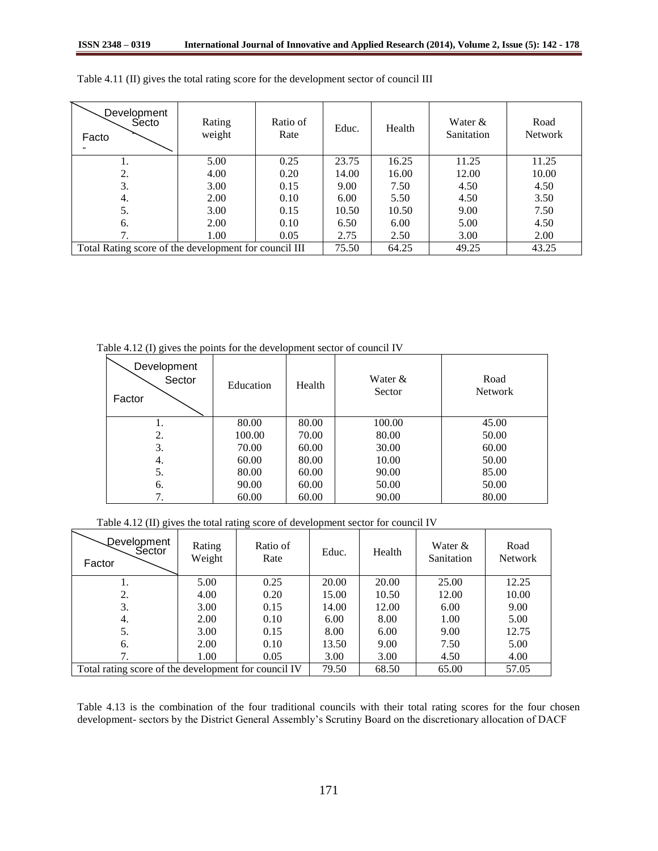| Development<br>Secto<br>Facto                         | Rating<br>weight | Ratio of<br>Rate | Educ. | Health | Water $&$<br>Sanitation | Road<br><b>Network</b> |
|-------------------------------------------------------|------------------|------------------|-------|--------|-------------------------|------------------------|
|                                                       | 5.00             | 0.25             | 23.75 | 16.25  | 11.25                   | 11.25                  |
| 2.                                                    | 4.00             | 0.20             | 14.00 | 16.00  | 12.00                   | 10.00                  |
| 3.                                                    | 3.00             | 0.15             | 9.00  | 7.50   | 4.50                    | 4.50                   |
| 4.                                                    | 2.00             | 0.10             | 6.00  | 5.50   | 4.50                    | 3.50                   |
| 5.                                                    | 3.00             | 0.15             | 10.50 | 10.50  | 9.00                    | 7.50                   |
| 6.                                                    | 2.00             | 0.10             | 6.50  | 6.00   | 5.00                    | 4.50                   |
| 7                                                     | 1.00             | 0.05             | 2.75  | 2.50   | 3.00                    | 2.00                   |
| Total Rating score of the development for council III | 75.50            | 64.25            | 49.25 | 43.25  |                         |                        |

Table 4.11 (II) gives the total rating score for the development sector of council III

Table 4.12 (I) gives the points for the development sector of council IV

| Development<br>Sector<br>Factor | Education | Health | Water $&$<br>Sector | Road<br><b>Network</b> |
|---------------------------------|-----------|--------|---------------------|------------------------|
|                                 | 80.00     | 80.00  | 100.00              | 45.00                  |
| 2.                              | 100.00    | 70.00  | 80.00               | 50.00                  |
| 3.                              | 70.00     | 60.00  | 30.00               | 60.00                  |
| 4.                              | 60.00     | 80.00  | 10.00               | 50.00                  |
| 5.                              | 80.00     | 60.00  | 90.00               | 85.00                  |
| 6.                              | 90.00     | 60.00  | 50.00               | 50.00                  |
|                                 | 60.00     | 60.00  | 90.00               | 80.00                  |

Table 4.12 (II) gives the total rating score of development sector for council IV

| Development<br>Sector<br>Factor                      | Rating<br>Weight | Ratio of<br>Rate | Educ. | Health | Water &<br>Sanitation | Road<br><b>Network</b> |
|------------------------------------------------------|------------------|------------------|-------|--------|-----------------------|------------------------|
|                                                      | 5.00             | 0.25             | 20.00 | 20.00  | 25.00                 | 12.25                  |
| 2.                                                   | 4.00             | 0.20             | 15.00 | 10.50  | 12.00                 | 10.00                  |
| 3.                                                   | 3.00             | 0.15             | 14.00 | 12.00  | 6.00                  | 9.00                   |
| 4.                                                   | 2.00             | 0.10             | 6.00  | 8.00   | 1.00                  | 5.00                   |
| 5.                                                   | 3.00             | 0.15             | 8.00  | 6.00   | 9.00                  | 12.75                  |
| 6.                                                   | 2.00             | 0.10             | 13.50 | 9.00   | 7.50                  | 5.00                   |
| 7.                                                   | 1.00             | 0.05             | 3.00  | 3.00   | 4.50                  | 4.00                   |
| Total rating score of the development for council IV | 79.50            | 68.50            | 65.00 | 57.05  |                       |                        |

Table 4.13 is the combination of the four traditional councils with their total rating scores for the four chosen development- sectors by the District General Assembly"s Scrutiny Board on the discretionary allocation of DACF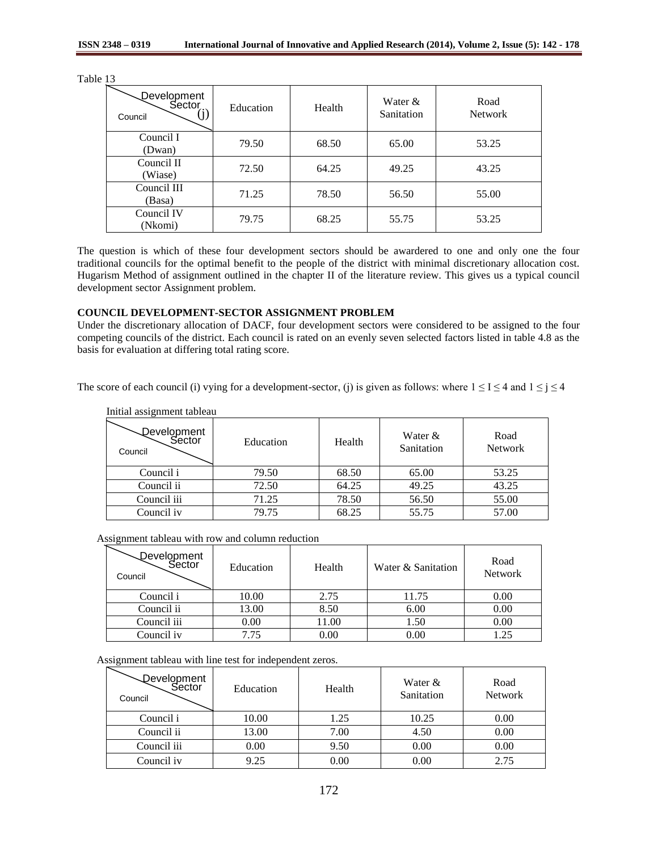| nie<br>.,<br>۰. |  |
|-----------------|--|
|-----------------|--|

| Development<br>Sector<br>Council | Education | Health | Water $\&$<br>Sanitation | Road<br><b>Network</b> |
|----------------------------------|-----------|--------|--------------------------|------------------------|
| Council I<br>(Dwan)              | 79.50     | 68.50  | 65.00                    | 53.25                  |
| Council II<br>(Wiase)            | 72.50     | 64.25  | 49.25                    | 43.25                  |
| Council III<br>(Basa)            | 71.25     | 78.50  | 56.50                    | 55.00                  |
| Council IV<br>(Nkomi)            | 79.75     | 68.25  | 55.75                    | 53.25                  |

The question is which of these four development sectors should be awardered to one and only one the four traditional councils for the optimal benefit to the people of the district with minimal discretionary allocation cost. Hugarism Method of assignment outlined in the chapter II of the literature review. This gives us a typical council development sector Assignment problem.

## **COUNCIL DEVELOPMENT-SECTOR ASSIGNMENT PROBLEM**

Under the discretionary allocation of DACF, four development sectors were considered to be assigned to the four competing councils of the district. Each council is rated on an evenly seven selected factors listed in table 4.8 as the basis for evaluation at differing total rating score.

The score of each council (i) vying for a development-sector, (j) is given as follows: where  $1 \leq I \leq 4$  and  $1 \leq j \leq 4$ 

| hiittai assigninent taoleau      |           |        |                         |                        |  |  |  |  |
|----------------------------------|-----------|--------|-------------------------|------------------------|--|--|--|--|
| Development<br>Sector<br>Council | Education | Health | Water $&$<br>Sanitation | Road<br><b>Network</b> |  |  |  |  |
| Council i                        | 79.50     | 68.50  | 65.00                   | 53.25                  |  |  |  |  |
| Council ii                       | 72.50     | 64.25  | 49.25                   | 43.25                  |  |  |  |  |
| Council iii                      | 71.25     | 78.50  | 56.50                   | 55.00                  |  |  |  |  |
| Council iv                       | 79.75     | 68.25  | 55.75                   | 57.00                  |  |  |  |  |

# Initial assignment tableau

| Assignment tableau with row and column reduction |  |
|--------------------------------------------------|--|
|--------------------------------------------------|--|

| Development<br>Sector<br>Council | Education | Health | Water & Sanitation | Road<br><b>Network</b> |
|----------------------------------|-----------|--------|--------------------|------------------------|
| Council i                        | 10.00     | 2.75   | 11.75              | 0.00                   |
| Council ii                       | 13.00     | 8.50   | 6.00               | 0.00                   |
| Council iii                      | 0.00      | 11.00  | 1.50               | 0.00                   |
| Council iv                       |           | 0.00   | $0.00\,$           | .25                    |

Assignment tableau with line test for independent zeros.

| Development<br>Sector<br>Council | Education | Health | Water &<br>Sanitation | Road<br><b>Network</b> |
|----------------------------------|-----------|--------|-----------------------|------------------------|
| Council i                        | 10.00     | 1.25   | 10.25                 | 0.00                   |
| Council ii                       | 13.00     | 7.00   | 4.50                  | 0.00                   |
| Council iii                      | 0.00      | 9.50   | 0.00                  | 0.00                   |
| Council iv                       | 9.25      | 0.00   | 0.00                  | 2.75                   |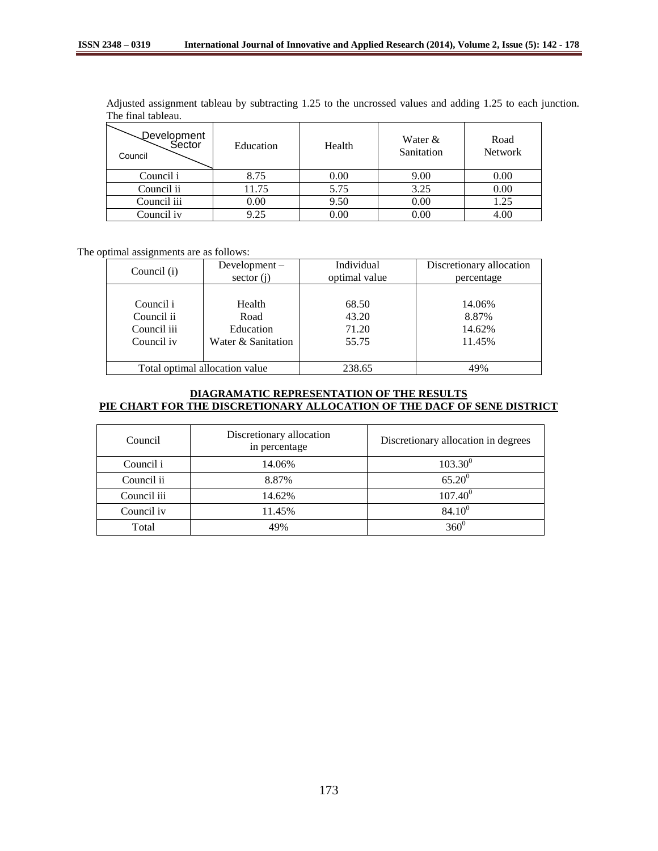| Adjusted assignment tableau by subtracting 1.25 to the uncrossed values and adding 1.25 to each junction. |  |  |  |  |  |  |
|-----------------------------------------------------------------------------------------------------------|--|--|--|--|--|--|
| The final tableau.                                                                                        |  |  |  |  |  |  |

| Development<br>Sector<br>Council | Education | Health | Water &<br>Sanitation | Road<br><b>Network</b> |
|----------------------------------|-----------|--------|-----------------------|------------------------|
| Council i                        | 8.75      | 0.00   | 9.00                  | 0.00                   |
| Council ii                       | 11.75     | 5.75   | 3.25                  | 0.00                   |
| Council iii                      | 0.00      | 9.50   | 0.00                  | 1.25                   |
| Council iv                       | 9.25      | 0.00   | 0.00                  | 4.00                   |

The optimal assignments are as follows:

| Council (i) | Development $-$                | Individual    | Discretionary allocation |
|-------------|--------------------------------|---------------|--------------------------|
|             | sector $(i)$                   | optimal value | percentage               |
| Council i   | Health                         | 68.50         | 14.06%                   |
| Council ii  | Road                           | 43.20         | 8.87%                    |
| Council iii | Education                      | 71.20         | 14.62%                   |
| Council iv  | Water & Sanitation             | 55.75         | 11.45%                   |
|             | Total optimal allocation value | 238.65        | 49%                      |

# **DIAGRAMATIC REPRESENTATION OF THE RESULTS PIE CHART FOR THE DISCRETIONARY ALLOCATION OF THE DACF OF SENE DISTRICT**

| Council     | Discretionary allocation<br>in percentage | Discretionary allocation in degrees |
|-------------|-------------------------------------------|-------------------------------------|
| Council i   | 14.06%                                    | $103.30^{0}$                        |
| Council ii  | 8.87%                                     | $65.20^0$                           |
| Council iii | 14.62%                                    | $107.40^{0}$                        |
| Council iv  | 11.45%                                    | $84.10^{0}$                         |
| Total       | 49%                                       | 360 <sup>0</sup>                    |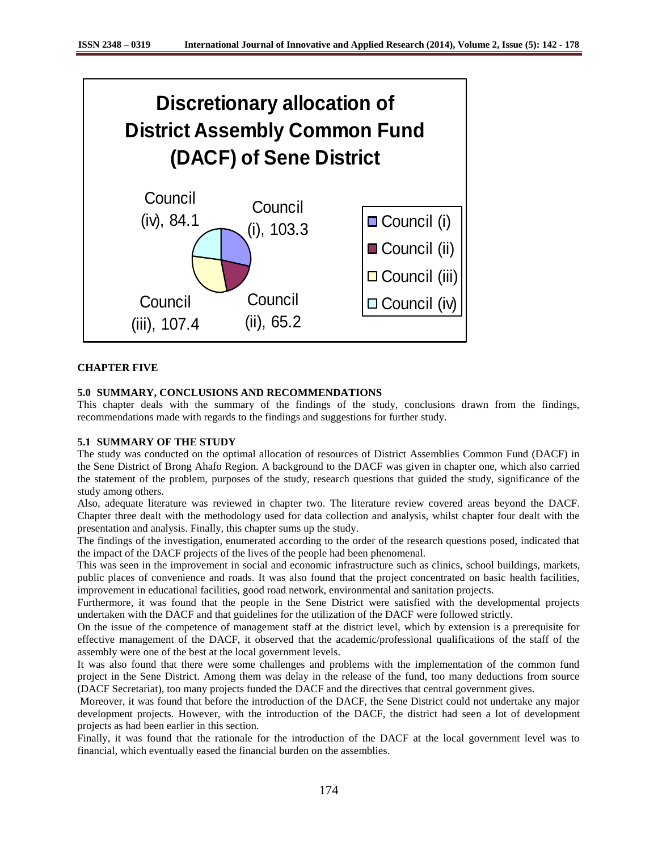

# **CHAPTER FIVE**

## **5.0 SUMMARY, CONCLUSIONS AND RECOMMENDATIONS**

This chapter deals with the summary of the findings of the study, conclusions drawn from the findings, recommendations made with regards to the findings and suggestions for further study.

## **5.1 SUMMARY OF THE STUDY**

The study was conducted on the optimal allocation of resources of District Assemblies Common Fund (DACF) in the Sene District of Brong Ahafo Region. A background to the DACF was given in chapter one, which also carried the statement of the problem, purposes of the study, research questions that guided the study, significance of the study among others.

Also, adequate literature was reviewed in chapter two. The literature review covered areas beyond the DACF. Chapter three dealt with the methodology used for data collection and analysis, whilst chapter four dealt with the presentation and analysis. Finally, this chapter sums up the study.

The findings of the investigation, enumerated according to the order of the research questions posed, indicated that the impact of the DACF projects of the lives of the people had been phenomenal.

This was seen in the improvement in social and economic infrastructure such as clinics, school buildings, markets, public places of convenience and roads. It was also found that the project concentrated on basic health facilities, improvement in educational facilities, good road network, environmental and sanitation projects.

Furthermore, it was found that the people in the Sene District were satisfied with the developmental projects undertaken with the DACF and that guidelines for the utilization of the DACF were followed strictly.

On the issue of the competence of management staff at the district level, which by extension is a prerequisite for effective management of the DACF, it observed that the academic/professional qualifications of the staff of the assembly were one of the best at the local government levels.

It was also found that there were some challenges and problems with the implementation of the common fund project in the Sene District. Among them was delay in the release of the fund, too many deductions from source (DACF Secretariat), too many projects funded the DACF and the directives that central government gives.

Moreover, it was found that before the introduction of the DACF, the Sene District could not undertake any major development projects. However, with the introduction of the DACF, the district had seen a lot of development projects as had been earlier in this section.

Finally, it was found that the rationale for the introduction of the DACF at the local government level was to financial, which eventually eased the financial burden on the assemblies.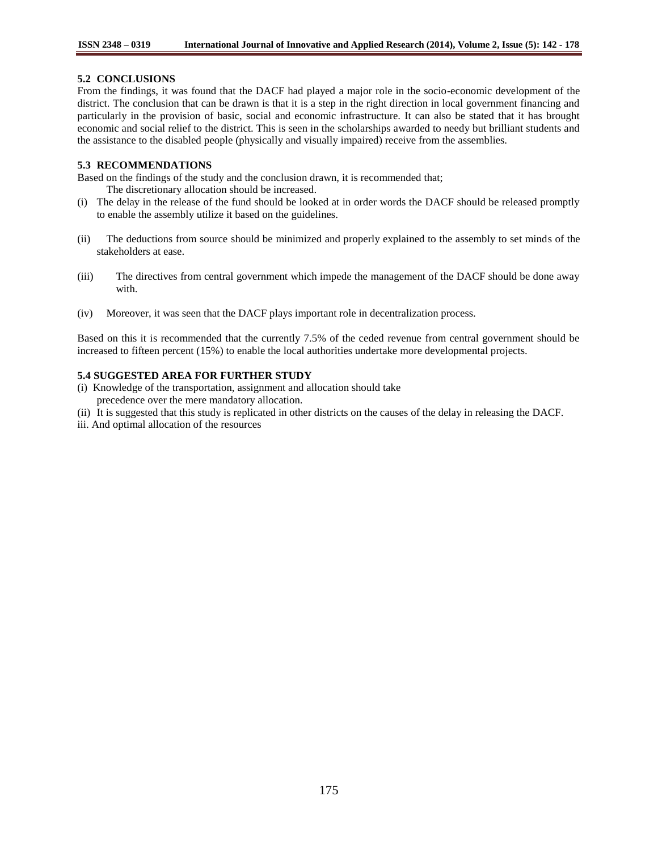# **5.2 CONCLUSIONS**

From the findings, it was found that the DACF had played a major role in the socio-economic development of the district. The conclusion that can be drawn is that it is a step in the right direction in local government financing and particularly in the provision of basic, social and economic infrastructure. It can also be stated that it has brought economic and social relief to the district. This is seen in the scholarships awarded to needy but brilliant students and the assistance to the disabled people (physically and visually impaired) receive from the assemblies.

# **5.3 RECOMMENDATIONS**

Based on the findings of the study and the conclusion drawn, it is recommended that;

The discretionary allocation should be increased.

- (i) The delay in the release of the fund should be looked at in order words the DACF should be released promptly to enable the assembly utilize it based on the guidelines.
- (ii) The deductions from source should be minimized and properly explained to the assembly to set minds of the stakeholders at ease.
- (iii) The directives from central government which impede the management of the DACF should be done away with.
- (iv) Moreover, it was seen that the DACF plays important role in decentralization process.

Based on this it is recommended that the currently 7.5% of the ceded revenue from central government should be increased to fifteen percent (15%) to enable the local authorities undertake more developmental projects.

# **5.4 SUGGESTED AREA FOR FURTHER STUDY**

- (i) Knowledge of the transportation, assignment and allocation should take precedence over the mere mandatory allocation.
- (ii) It is suggested that this study is replicated in other districts on the causes of the delay in releasing the DACF.
- iii. And optimal allocation of the resources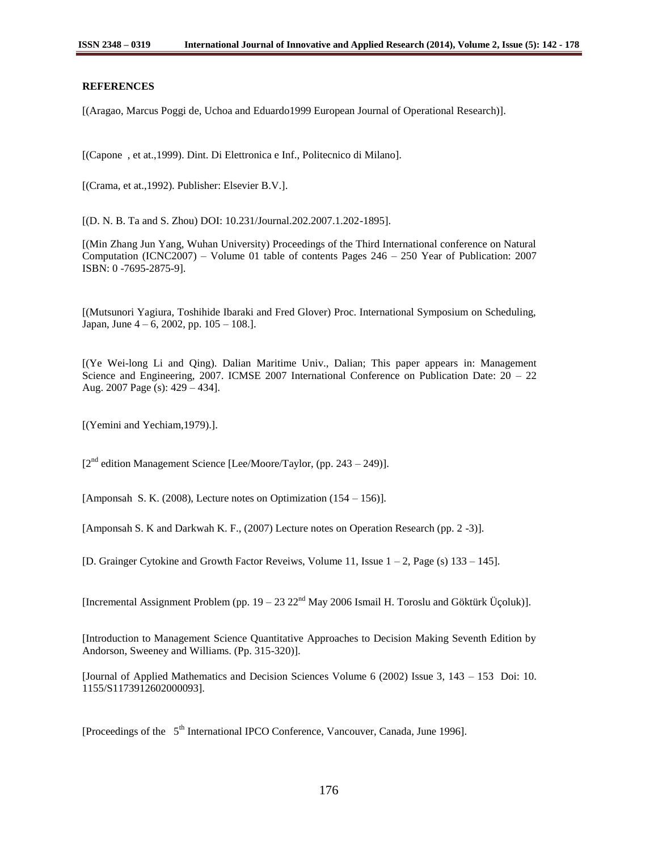#### **REFERENCES**

[(Aragao, Marcus Poggi de, Uchoa and Eduardo1999 European Journal of Operational Research)].

[(Capone , et at.,1999). Dint. Di Elettronica e Inf., Politecnico di Milano].

[(Crama, et at.,1992). Publisher: Elsevier B.V.].

[(D. N. B. Ta and S. Zhou) DOI: 10.231/Journal.202.2007.1.202-1895].

[(Min Zhang Jun Yang, Wuhan University) Proceedings of the Third International conference on Natural Computation (ICNC2007) – Volume 01 table of contents Pages 246 – 250 Year of Publication: 2007 ISBN: 0 -7695-2875-9].

[(Mutsunori Yagiura, Toshihide Ibaraki and Fred Glover) Proc. International Symposium on Scheduling, Japan, June 4 – 6, 2002, pp. 105 – 108.].

[(Ye Wei-long Li and Qing). Dalian Maritime Univ., Dalian; This paper appears in: Management Science and Engineering, 2007. ICMSE 2007 International Conference on Publication Date: 20 – 22 Aug. 2007 Page (s): 429 – 434].

[(Yemini and Yechiam,1979).].

 $[2^{nd}$  edition Management Science [Lee/Moore/Taylor, (pp. 243 – 249)].

[Amponsah S. K. (2008), Lecture notes on Optimization (154 – 156)].

[Amponsah S. K and Darkwah K. F., (2007) Lecture notes on Operation Research (pp. 2 -3)].

[D. Grainger Cytokine and Growth Factor Reveiws, Volume 11, Issue 1 – 2, Page (s) 133 – 145].

[Incremental Assignment Problem (pp.  $19 - 23 22<sup>nd</sup>$  May 2006 Ismail H. Toroslu and Göktürk Üçoluk)].

[Introduction to Management Science Quantitative Approaches to Decision Making Seventh Edition by Andorson, Sweeney and Williams. (Pp. 315-320)].

[Journal of Applied Mathematics and Decision Sciences Volume 6 (2002) Issue 3, 143 – 153 Doi: 10. 1155/S1173912602000093].

[Proceedings of the 5<sup>th</sup> International IPCO Conference, Vancouver, Canada, June 1996].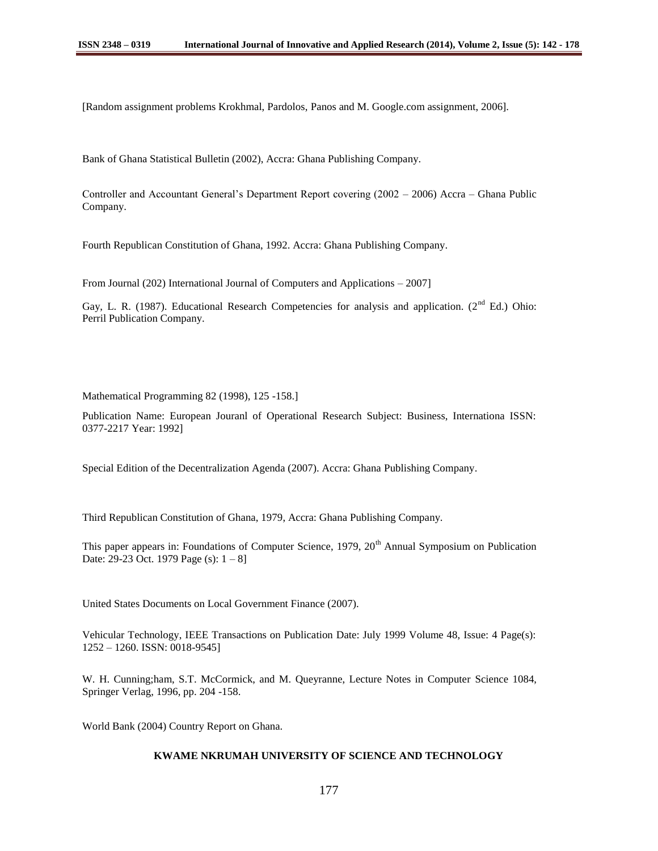[Random assignment problems Krokhmal, Pardolos, Panos and M. Google.com assignment, 2006].

Bank of Ghana Statistical Bulletin (2002), Accra: Ghana Publishing Company.

Controller and Accountant General"s Department Report covering (2002 – 2006) Accra – Ghana Public Company.

Fourth Republican Constitution of Ghana, 1992. Accra: Ghana Publishing Company.

From Journal (202) International Journal of Computers and Applications – 2007]

Gay, L. R. (1987). Educational Research Competencies for analysis and application. ( $2<sup>nd</sup>$  Ed.) Ohio: Perril Publication Company.

Mathematical Programming 82 (1998), 125 -158.]

Publication Name: European Jouranl of Operational Research Subject: Business, Internationa ISSN: 0377-2217 Year: 1992]

Special Edition of the Decentralization Agenda (2007). Accra: Ghana Publishing Company.

Third Republican Constitution of Ghana, 1979, Accra: Ghana Publishing Company.

This paper appears in: Foundations of Computer Science,  $1979$ ,  $20<sup>th</sup>$  Annual Symposium on Publication Date: 29-23 Oct. 1979 Page (s):  $1 - 8$ ]

United States Documents on Local Government Finance (2007).

Vehicular Technology, IEEE Transactions on Publication Date: July 1999 Volume 48, Issue: 4 Page(s): 1252 – 1260. ISSN: 0018-9545]

W. H. Cunning;ham, S.T. McCormick, and M. Queyranne, Lecture Notes in Computer Science 1084, Springer Verlag, 1996, pp. 204 -158.

World Bank (2004) Country Report on Ghana.

# **KWAME NKRUMAH UNIVERSITY OF SCIENCE AND TECHNOLOGY**

177